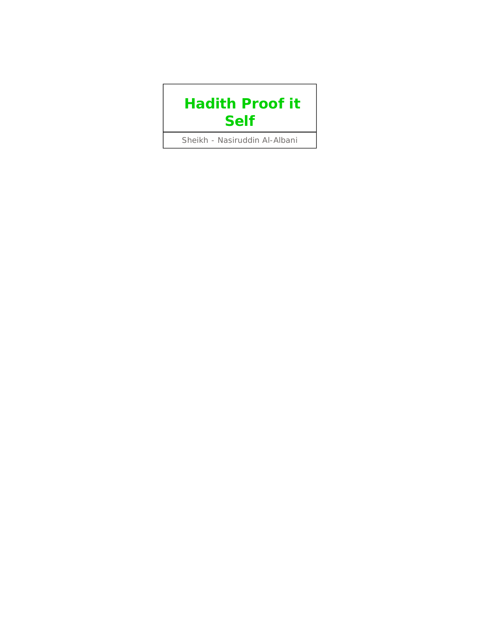# **Hadith Proof it Self**

Sheikh - Nasiruddin Al-Albani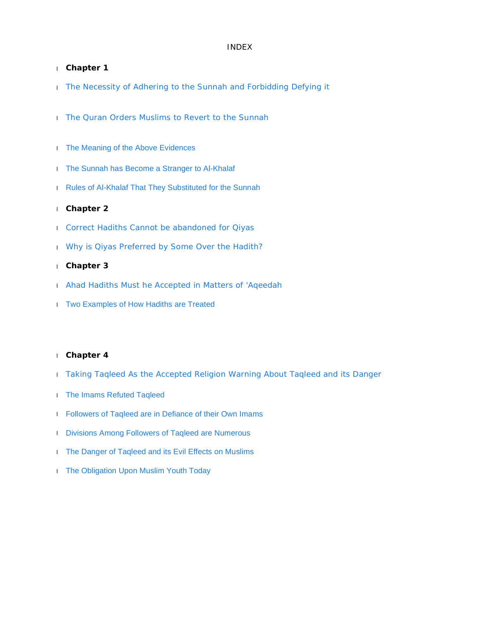# INDEX

#### l **Chapter 1**

- **I** The Necessity of Adhering to the Sunnah and Forbidding Defying it
- **I** The Quran Orders Muslims to Revert to the Sunnah
- **I** The Meaning of the Above Evidences
- l The Sunnah has Become a Stranger to Al-Khalaf
- l Rules of Al-Khalaf That They Substituted for the Sunnah

#### l **Chapter 2**

- l Correct Hadiths Cannot be abandoned for Qiyas
- l Why is Qiyas Preferred by Some Over the Hadith?

# l **Chapter 3**

- l Ahad Hadiths Must he Accepted in Matters of 'Aqeedah
- l Two Examples of How Hadiths are Treated

#### l **Chapter 4**

- l Taking Taqleed As the Accepted Religion Warning About Taqleed and its Danger
- l The Imams Refuted Taqleed
- l Followers of Taqleed are in Defiance of their Own Imams
- **I** Divisions Among Followers of Taqleed are Numerous
- l The Danger of Taqleed and its Evil Effects on Muslims
- **I** The Obligation Upon Muslim Youth Today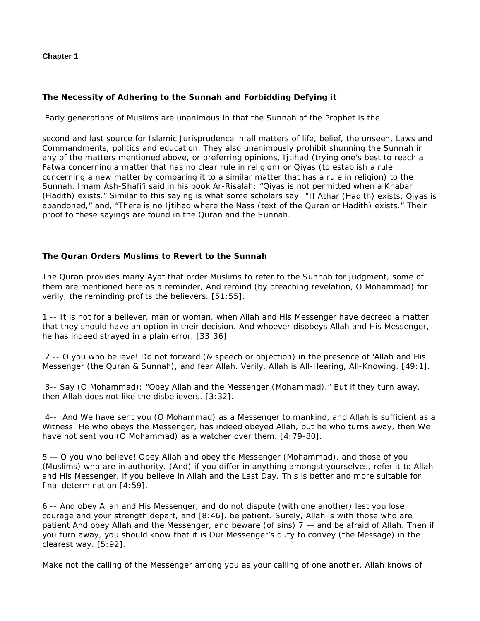# **Chapter 1**

# **The Necessity of Adhering to the Sunnah and Forbidding Defying it**

Early generations of Muslims are unanimous in that the Sunnah of the Prophet is the

second and last source for Islamic Jurisprudence in all matters of life, belief, the unseen, Laws and Commandments, politics and education. They also unanimously prohibit shunning the Sunnah in any of the matters mentioned above, or preferring opinions, Ijtihad (trying one's best to reach a Fatwa concerning a matter that has no clear rule in religion) or Qiyas (to establish a rule concerning a new matter by comparing it to a similar matter that has a rule in religion) to the Sunnah. Imam Ash-Shafi'i said in his book Ar-Risalah: "Qiyas is not permitted when a Khabar (Hadith) exists." Similar to this saying is what some scholars say: "If Athar (Hadith) exists, Qiyas is abandoned," and, "There is no Ijtihad where the Nass (text of the Quran or Hadith) exists." Their proof to these sayings are found in the Quran and the Sunnah.

# **The Quran Orders Muslims to Revert to the Sunnah**

The Quran provides many Ayat that order Muslims to refer to the Sunnah for judgment, some of them are mentioned here as a reminder, And remind (by preaching revelation, O Mohammad) for verily, the reminding profits the believers. [51:55].

1 -- It is not for a believer, man or woman, when Allah and His Messenger have decreed a matter that they should have an option in their decision. And whoever disobeys Allah and His Messenger, he has indeed strayed in a plain error. [33:36].

2 -- O you who believe! Do not forward (& speech or objection) in the presence of 'Allah and His Messenger (the Quran & Sunnah), and fear Allah. Verily, Allah is All-Hearing, All-Knowing. [49:1].

3-- Say (O Mohammad): "Obey Allah and the Messenger (Mohammad)." But if they turn away, then Allah does not like the disbelievers. [3:32].

4-- And We have sent you (O Mohammad) as a Messenger to mankind, and Allah is sufficient as a Witness. He who obeys the Messenger, has indeed obeyed Allah, but he who turns away, then We have not sent you (O Mohammad) as a watcher over them. [4:79-80].

5 — O you who believe! Obey Allah and obey the Messenger (Mohammad), and those of you (Muslims) who are in authority. (And) if you differ in anything amongst yourselves, refer it to Allah and His Messenger, if you believe in Allah and the Last Day. This is better and more suitable for final determination [4:59].

6 -- And obey Allah and His Messenger, and do not dispute (with one another) lest you lose courage and your strength depart, and [8:46]. be patient. Surely, Allah is with those who are patient And obey Allah and the Messenger, and beware (of sins) 7 — and be afraid of Allah. Then if you turn away, you should know that it is Our Messenger's duty to convey (the Message) in the clearest way. [5:92].

Make not the calling of the Messenger among you as your calling of one another. Allah knows of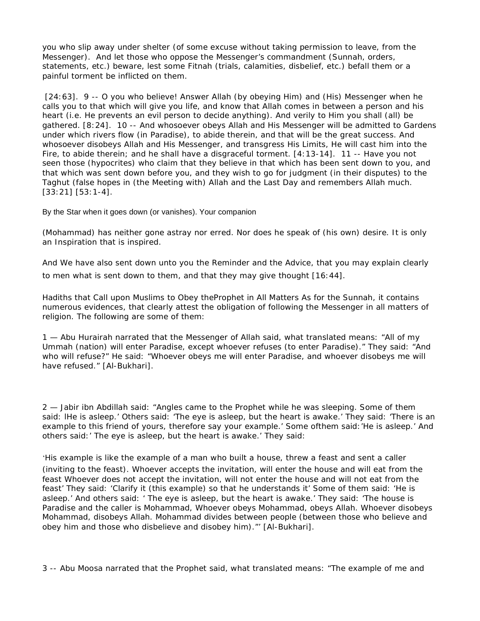you who slip away under shelter (of some excuse without taking permission to leave, from the Messenger). And let those who oppose the Messenger's commandment (Sunnah, orders, statements, etc.) beware, lest some Fitnah (trials, calamities, disbelief, etc.) befall them or a painful torment be inflicted on them.

[24:63]. 9 -- O you who believe! Answer Allah (by obeying Him) and (His) Messenger when he calls you to that which will give you life, and know that Allah comes in between a person and his heart (i.e. He prevents an evil person to decide anything). And verily to Him you shall (all) be gathered. [8:24]. 10 -- And whosoever obeys Allah and His Messenger will be admitted to Gardens under which rivers flow (in Paradise), to abide therein, and that will be the great success. And whosoever disobeys Allah and His Messenger, and transgress His Limits, He will cast him into the Fire, to abide therein; and he shall have a disgraceful torment. [4:13-14]. 11 -- Have you not seen those (hypocrites) who claim that they believe in that which has been sent down to you, and that which was sent down before you, and they wish to go for judgment (in their disputes) to the Taghut (false hopes in (the Meeting with) Allah and the Last Day and remembers Allah much. [33:21] [53:1-4].

By the Star when it goes down (or vanishes). Your companion

(Mohammad) has neither gone astray nor erred. Nor does he speak of (his own) desire. It is only an Inspiration that is inspired.

And We have also sent down unto you the Reminder and the Advice, that you may explain clearly to men what is sent down to them, and that they may give thought [16:44].

Hadiths that Call upon Muslims to Obey theProphet in All Matters As for the Sunnah, it contains numerous evidences, that clearly attest the obligation of following the Messenger in all matters of religion. The following are some of them:

1 — Abu Hurairah narrated that the Messenger of Allah said, what translated means: "All of my Ummah (nation) will enter Paradise, except whoever refuses (to enter Paradise)." They said: "And who will refuse?" He said: "Whoever obeys me will enter Paradise, and whoever disobeys me will have refused." [Al-Bukhari].

2 — Jabir ibn Abdillah said: "Angles came to the Prophet while he was sleeping. Some of them said: lHe is asleep.' Others said: 'The eye is asleep, but the heart is awake.' They said: 'There is an example to this friend of yours, therefore say your example.' Some ofthem said:'He is asleep.' And others said:' The eye is asleep, but the heart is awake.' They said:

'His example is like the example of a man who built a house, threw a feast and sent a caller (inviting to the feast). Whoever accepts the invitation, will enter the house and will eat from the feast Whoever does not accept the invitation, will not enter the house and will not eat from the feast' They said: 'Clarify it (this example) so that he understands it' Some of them said: 'He is asleep.' And others said: ' The eye is asleep, but the heart is awake.' They said: 'The house is Paradise and the caller is Mohammad, Whoever obeys Mohammad, obeys Allah. Whoever disobeys Mohammad, disobeys Allah. Mohammad divides between people (between those who believe and obey him and those who disbelieve and disobey him)."' [Al-Bukhari].

3 -- Abu Moosa narrated that the Prophet said, what translated means: "The example of me and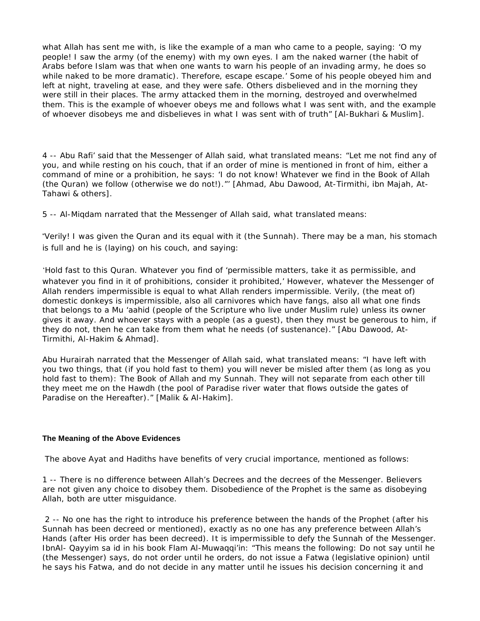what Allah has sent me with, is like the example of a man who came to a people, saying: 'O my people! I saw the army (of the enemy) with my own eyes. I am the naked warner (the habit of Arabs before Islam was that when one wants to warn his people of an invading army, he does so while naked to be more dramatic). Therefore, escape escape.' Some of his people obeyed him and left at night, traveling at ease, and they were safe. Others disbelieved and in the morning they were still in their places. The army attacked them in the morning, destroyed and overwhelmed them. This is the example of whoever obeys me and follows what I was sent with, and the example of whoever disobeys me and disbelieves in what I was sent with of truth" [Al-Bukhari & Muslim].

4 -- Abu Rafi' said that the Messenger of Allah said, what translated means: "Let me not find any of you, and while resting on his couch, that if an order of mine is mentioned in front of him, either a command of mine or a prohibition, he says: 'I do not know! Whatever we find in the Book of Allah (the Quran) we follow (otherwise we do not!)."' [Ahmad, Abu Dawood, At-Tirmithi, ibn Majah, At-Tahawi & others].

5 -- Al-Miqdam narrated that the Messenger of Allah said, what translated means:

"Verily! I was given the Quran and its equal with it (the Sunnah). There may be a man, his stomach is full and he is (laying) on his couch, and saying:

'Hold fast to this Quran. Whatever you find of 'permissible matters, take it as permissible, and whatever you find in it of prohibitions, consider it prohibited,' However, whatever the Messenger of Allah renders impermissible is equal to what Allah renders impermissible. Verily, (the meat of) domestic donkeys is impermissible, also all carnivores which have fangs, also all what one finds that belongs to a Mu 'aahid (people of the Scripture who live under Muslim rule) unless its owner gives it away. And whoever stays with a people (as a guest), then they must be generous to him, if they do not, then he can take from them what he needs (of sustenance)." [Abu Dawood, At-Tirmithi, Al-Hakim & Ahmad].

Abu Hurairah narrated that the Messenger of Allah said, what translated means: "I have left with you two things, that (if you hold fast to them) you will never be misled after them (as long as you hold fast to them): The Book of Allah and my Sunnah. They will not separate from each other till they meet me on the Hawdh (the pool of Paradise river water that flows outside the gates of Paradise on the Hereafter)." [Malik & Al-Hakim].

### **The Meaning of the Above Evidences**

The above Ayat and Hadiths have benefits of very crucial importance, mentioned as follows:

1 -- There is no difference between Allah's Decrees and the decrees of the Messenger. Believers are not given any choice to disobey them. Disobedience of the Prophet is the same as disobeying Allah, both are utter misguidance.

2 -- No one has the right to introduce his preference between the hands of the Prophet (after his Sunnah has been decreed or mentioned), exactly as no one has any preference between Allah's Hands (after His order has been decreed). It is impermissible to defy the Sunnah of the Messenger. IbnAl- Qayyim sa id in his book Flam Al-Muwaqqi'in: "This means the following: Do not say until he (the Messenger) says, do not order until he orders, do not issue a Fatwa (legislative opinion) until he says his Fatwa, and do not decide in any matter until he issues his decision concerning it and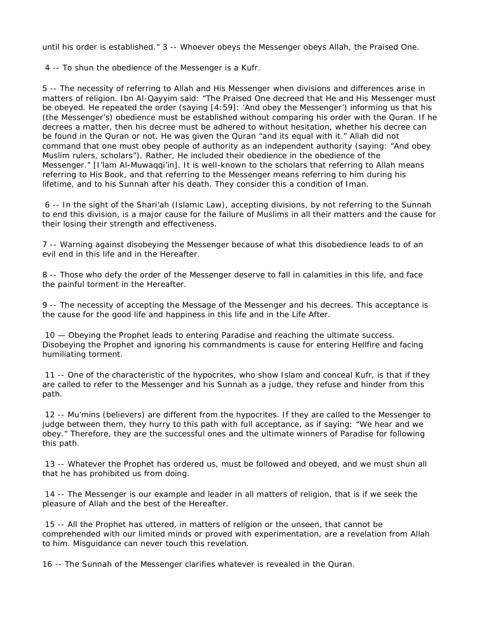until his order is established." 3 -- Whoever obeys the Messenger obeys Allah, the Praised One.

4 -- To shun the obedience of the Messenger is a Kufr.

5 -- The necessity of referring to Allah and His Messenger when divisions and differences arise in matters of religion. Ibn Al-Qayyim said: "The Praised One decreed that He and His Messenger must be obeyed. He repeated the order (saying [4:59]: 'And obey the Messenger') informing us that his (the Messenger's) obedience must be established without comparing his order with the Quran. If he decrees a matter, then his decree must be adhered to without hesitation, whether his decree can be found in the Quran or not. He was given the Quran "and its equal with it." Allah did not command that one must obey people of authority as an independent authority (saying: "And obey Muslim rulers, scholars"). Rather, He included their obedience in the obedience of the Messenger." [I'lam Al-Muwaqqi'in]. It is well-known to the scholars that referring to Allah means referring to His Book, and that referring to the Messenger means referring to him during his lifetime, and to his Sunnah after his death. They consider this a condition of Iman.

6 -- In the sight of the Shari'ah (Islamic Law), accepting divisions, by not referring to the Sunnah to end this division, is a major cause for the failure of Muslims in all their matters and the cause for their losing their strength and effectiveness.

7 -- Warning against disobeying the Messenger because of what this disobedience leads to of an evil end in this life and in the Hereafter.

8 -- Those who defy the order of the Messenger deserve to fall in calamities in this life, and face the painful torment in the Hereafter.

9 -- The necessity of accepting the Message of the Messenger and his decrees. This acceptance is the cause for the good life and happiness in this life and in the Life After.

10 — Obeying the Prophet leads to entering Paradise and reaching the ultimate success. Disobeying the Prophet and ignoring his commandments is cause for entering Hellfire and facing humiliating torment.

11 -- One of the characteristic of the hypocrites, who show Islam and conceal Kufr, is that if they are called to refer to the Messenger and his Sunnah as a judge, they refuse and hinder from this path.

12 -- Mu'mins (believers) are different from the hypocrites. If they are called to the Messenger to judge between them, they hurry to this path with full acceptance, as if saying: "We hear and we obey." Therefore, they are the successful ones and the ultimate winners of Paradise for following this path.

13 -- Whatever the Prophet has ordered us, must be followed and obeyed, and we must shun all that he has prohibited us from doing.

14 -- The Messenger is our example and leader in all matters of religion, that is if we seek the pleasure of Allah and the best of the Hereafter.

15 -- All the Prophet has uttered, in matters of religion or the unseen, that cannot be comprehended with our limited minds or proved with experimentation, are a revelation from Allah to him. Misguidance can never touch this revelation.

16 -- The Sunnah of the Messenger clarifies whatever is revealed in the Quran.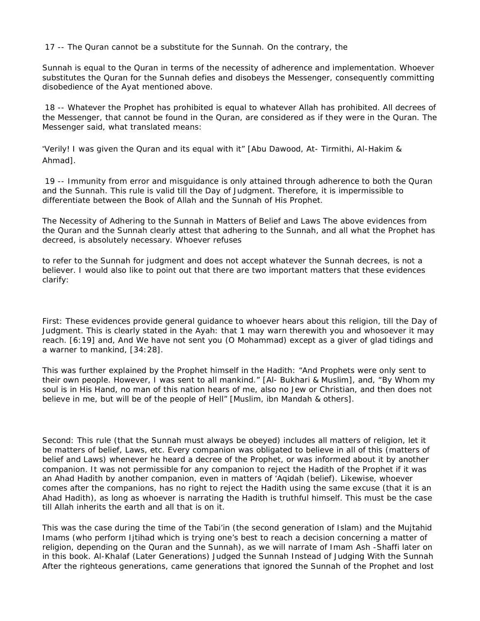17 -- The Quran cannot be a substitute for the Sunnah. On the contrary, the

Sunnah is equal to the Quran in terms of the necessity of adherence and implementation. Whoever substitutes the Quran for the Sunnah defies and disobeys the Messenger, consequently committing disobedience of the Ayat mentioned above.

18 -- Whatever the Prophet has prohibited is equal to whatever Allah has prohibited. All decrees of the Messenger, that cannot be found in the Quran, are considered as if they were in the Quran. The Messenger said, what translated means:

"Verily! I was given the Quran and its equal with it" [Abu Dawood, At- Tirmithi, Al-Hakim & Ahmad].

19 -- Immunity from error and misguidance is only attained through adherence to both the Quran and the Sunnah. This rule is valid till the Day of Judgment. Therefore, it is impermissible to differentiate between the Book of Allah and the Sunnah of His Prophet.

The Necessity of Adhering to the Sunnah in Matters of Belief and Laws The above evidences from the Quran and the Sunnah clearly attest that adhering to the Sunnah, and all what the Prophet has decreed, is absolutely necessary. Whoever refuses

to refer to the Sunnah for judgment and does not accept whatever the Sunnah decrees, is not a believer. I would also like to point out that there are two important matters that these evidences clarify:

First: These evidences provide general guidance to whoever hears about this religion, till the Day of Judgment. This is clearly stated in the Ayah: that 1 may warn therewith you and whosoever it may reach. [6:19] and, And We have not sent you (O Mohammad) except as a giver of glad tidings and a warner to mankind, [34:28].

This was further explained by the Prophet himself in the Hadith: "And Prophets were only sent to their own people. However, I was sent to all mankind." [Al- Bukhari & Muslim], and, "By Whom my soul is in His Hand, no man of this nation hears of me, also no Jew or Christian, and then does not believe in me, but will be of the people of Hell" [Muslim, ibn Mandah & others].

Second: This rule (that the Sunnah must always be obeyed) includes all matters of religion, let it be matters of belief, Laws, etc. Every companion was obligated to believe in all of this (matters of belief and Laws) whenever he heard a decree of the Prophet, or was informed about it by another companion. It was not permissible for any companion to reject the Hadith of the Prophet if it was an Ahad Hadith by another companion, even in matters of 'Aqidah (belief). Likewise, whoever comes after the companions, has no right to reject the Hadith using the same excuse (that it is an Ahad Hadith), as long as whoever is narrating the Hadith is truthful himself. This must be the case till Allah inherits the earth and all that is on it.

This was the case during the time of the Tabi'in (the second generation of Islam) and the Mujtahid Imams (who perform Ijtihad which is trying one's best to reach a decision concerning a matter of religion, depending on the Quran and the Sunnah), as we will narrate of Imam Ash -Shaffi later on in this book. Al-Khalaf (Later Generations) Judged the Sunnah Instead of Judging With the Sunnah After the righteous generations, came generations that ignored the Sunnah of the Prophet and lost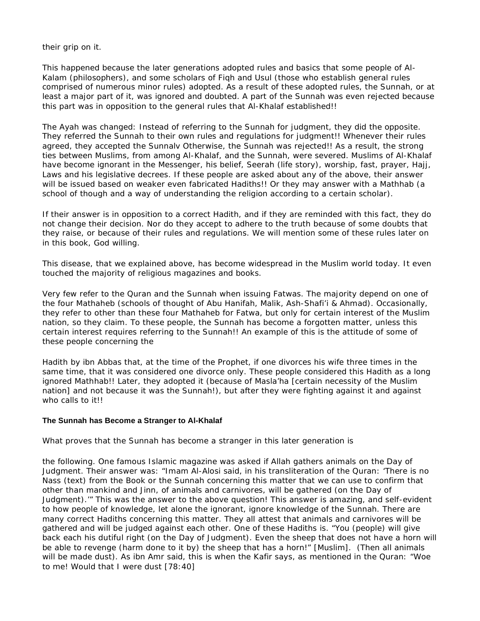their grip on it.

This happened because the later generations adopted rules and basics that some people of Al-Kalam (philosophers), and some scholars of Fiqh and Usul (those who establish general rules comprised of numerous minor rules) adopted. As a result of these adopted rules, the Sunnah, or at least a major part of it, was ignored and doubted. A part of the Sunnah was even rejected because this part was in opposition to the general rules that Al-Khalaf established!!

The Ayah was changed: Instead of referring to the Sunnah for judgment, they did the opposite. They referred the Sunnah to their own rules and regulations for judgment!! Whenever their rules agreed, they accepted the Sunnalv Otherwise, the Sunnah was rejected!! As a result, the strong ties between Muslims, from among Al-Khalaf, and the Sunnah, were severed. Muslims of Al-Khalaf have become ignorant in the Messenger, his belief, Seerah (life story), worship, fast, prayer, Hajj, Laws and his legislative decrees. If these people are asked about any of the above, their answer will be issued based on weaker even fabricated Hadiths!! Or they may answer with a Mathhab (a school of though and a way of understanding the religion according to a certain scholar).

If their answer is in opposition to a correct Hadith, and if they are reminded with this fact, they do not change their decision. Nor do they accept to adhere to the truth because of some doubts that they raise, or because of their rules and regulations. We will mention some of these rules later on in this book, God willing.

This disease, that we explained above, has become widespread in the Muslim world today. It even touched the majority of religious magazines and books.

Very few refer to the Quran and the Sunnah when issuing Fatwas. The majority depend on one of the four Mathaheb (schools of thought of Abu Hanifah, Malik, Ash-Shafi'i & Ahmad). Occasionally, they refer to other than these four Mathaheb for Fatwa, but only for certain interest of the Muslim nation, so they claim. To these people, the Sunnah has become a forgotten matter, unless this certain interest requires referring to the Sunnah!! An example of this is the attitude of some of these people concerning the

Hadith by ibn Abbas that, at the time of the Prophet, if one divorces his wife three times in the same time, that it was considered one divorce only. These people considered this Hadith as a long ignored Mathhab!! Later, they adopted it (because of Masla'ha [certain necessity of the Muslim nation] and not because it was the Sunnah!), but after they were fighting against it and against who calls to it!!

### **The Sunnah has Become a Stranger to Al-Khalaf**

What proves that the Sunnah has become a stranger in this later generation is

the following. One famous Islamic magazine was asked if Allah gathers animals on the Day of Judgment. Their answer was: "Imam Al-Alosi said, in his transliteration of the Quran: 'There is no Nass (text) from the Book or the Sunnah concerning this matter that we can use to confirm that other than mankind and Jinn, of animals and carnivores, will be gathered (on the Day of Judgment).'" This was the answer to the above question! This answer is amazing, and self-evident to how people of knowledge, let alone the ignorant, ignore knowledge of the Sunnah. There are many correct Hadiths concerning this matter. They all attest that animals and carnivores will be gathered and will be judged against each other. One of these Hadiths is. "You (people) will give back each his dutiful right (on the Day of Judgment). Even the sheep that does not have a horn will be able to revenge (harm done to it by) the sheep that has a horn!" [Muslim]. (Then all animals will be made dust). As ibn Amr said, this is when the Kafir says, as mentioned in the Quran: "Woe to me! Would that I were dust [78:40]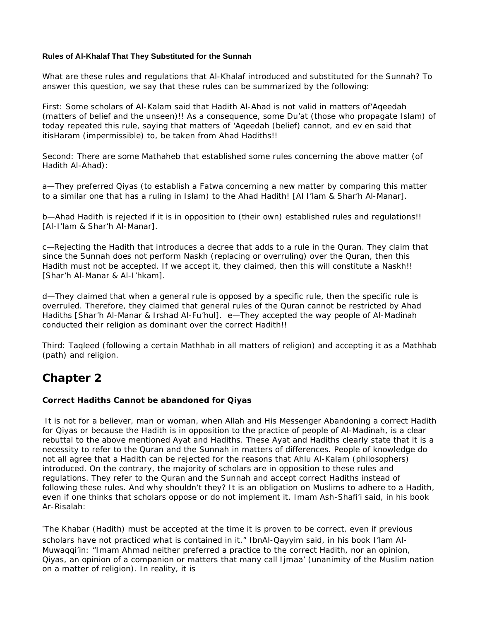# **Rules of Al-Khalaf That They Substituted for the Sunnah**

What are these rules and regulations that Al-Khalaf introduced and substituted for the Sunnah? To answer this question, we say that these rules can be summarized by the following:

First: Some scholars of Al-Kalam said that Hadith Al-Ahad is not valid in matters of'Aqeedah (matters of belief and the unseen)!! As a consequence, some Du'at (those who propagate Islam) of today repeated this rule, saying that matters of 'Aqeedah (belief) cannot, and ev en said that itisHaram (impermissible) to, be taken from Ahad Hadiths!!

Second: There are some Mathaheb that established some rules concerning the above matter (of Hadith Al-Ahad):

a—They preferred Qiyas (to establish a Fatwa concerning a new matter by comparing this matter to a similar one that has a ruling in Islam) to the Ahad Hadith! [Al I'lam & Shar'h Al-Manar].

b—Ahad Hadith is rejected if it is in opposition to (their own) established rules and regulations!! [Al-I'lam & Shar'h Al-Manar].

c—Rejecting the Hadith that introduces a decree that adds to a rule in the Quran. They claim that since the Sunnah does not perform Naskh (replacing or overruling) over the Quran, then this Hadith must not be accepted. If we accept it, they claimed, then this will constitute a Naskh!! [Shar'h Al-Manar & Al-I'hkam].

d—They claimed that when a general rule is opposed by a specific rule, then the specific rule is overruled. Therefore, they claimed that general rules of the Quran cannot be restricted by Ahad Hadiths [Shar'h Al-Manar & Irshad Al-Fu'hul]. e—They accepted the way people of Al-Madinah conducted their religion as dominant over the correct Hadith!!

Third: Taqleed (following a certain Mathhab in all matters of religion) and accepting it as a Mathhab (path) and religion.

# **Chapter 2**

# **Correct Hadiths Cannot be abandoned for Qiyas**

It is not for a believer, man or woman, when Allah and His Messenger Abandoning a correct Hadith for Qiyas or because the Hadith is in opposition to the practice of people of Al-Madinah, is a clear rebuttal to the above mentioned Ayat and Hadiths. These Ayat and Hadiths clearly state that it is a necessity to refer to the Quran and the Sunnah in matters of differences. People of knowledge do not all agree that a Hadith can be rejected for the reasons that Ahlu Al-Kalam (philosophers) introduced. On the contrary, the majority of scholars are in opposition to these rules and regulations. They refer to the Quran and the Sunnah and accept correct Hadiths instead of following these rules. And why shouldn't they? It is an obligation on Muslims to adhere to a Hadith, even if one thinks that scholars oppose or do not implement it. Imam Ash-Shafi'i said, in his book Ar-Risalah:

"The Khabar (Hadith) must be accepted at the time it is proven to be correct, even if previous scholars have not practiced what is contained in it." IbnAl-Qayyim said, in his book I'lam Al-Muwaqqi'in: "Imam Ahmad neither preferred a practice to the correct Hadith, nor an opinion, Qiyas, an opinion of a companion or matters that many call Ijmaa' (unanimity of the Muslim nation on a matter of religion). In reality, it is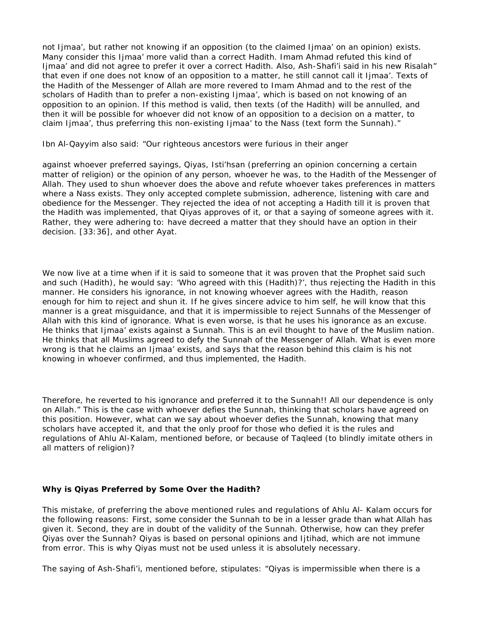not Ijmaa', but rather not knowing if an opposition (to the claimed Ijmaa' on an opinion) exists. Many consider this Ijmaa' more valid than a correct Hadith. Imam Ahmad refuted this kind of Ijmaa' and did not agree to prefer it over a correct Hadith. Also, Ash-Shafi'i said in his new Risalah" that even if one does not know of an opposition to a matter, he still cannot call it Ijmaa'. Texts of the Hadith of the Messenger of Allah are more revered to Imam Ahmad and to the rest of the scholars of Hadith than to prefer a non-existing Ijmaa', which is based on not knowing of an opposition to an opinion. If this method is valid, then texts (of the Hadith) will be annulled, and then it will be possible for whoever did not know of an opposition to a decision on a matter, to claim Ijmaa', thus preferring this non-existing Ijmaa' to the Nass (text form the Sunnah)."

Ibn Al-Qayyim also said: "Our righteous ancestors were furious in their anger

against whoever preferred sayings, Qiyas, Isti'hsan (preferring an opinion concerning a certain matter of religion) or the opinion of any person, whoever he was, to the Hadith of the Messenger of Allah. They used to shun whoever does the above and refute whoever takes preferences in matters where a Nass exists. They only accepted complete submission, adherence, listening with care and obedience for the Messenger. They rejected the idea of not accepting a Hadith till it is proven that the Hadith was implemented, that Qiyas approves of it, or that a saying of someone agrees with it. Rather, they were adhering to: have decreed a matter that they should have an option in their decision. [33:36], and other Ayat.

We now live at a time when if it is said to someone that it was proven that the Prophet said such and such (Hadith), he would say: 'Who agreed with this (Hadith)?', thus rejecting the Hadith in this manner. He considers his ignorance, in not knowing whoever agrees with the Hadith, reason enough for him to reject and shun it. If he gives sincere advice to him self, he will know that this manner is a great misguidance, and that it is impermissible to reject Sunnahs of the Messenger of Allah with this kind of ignorance. What is even worse, is that he uses his ignorance as an excuse. He thinks that Ijmaa' exists against a Sunnah. This is an evil thought to have of the Muslim nation. He thinks that all Muslims agreed to defy the Sunnah of the Messenger of Allah. What is even more wrong is that he claims an Ijmaa' exists, and says that the reason behind this claim is his not knowing in whoever confirmed, and thus implemented, the Hadith.

Therefore, he reverted to his ignorance and preferred it to the Sunnah!! All our dependence is only on Allah." This is the case with whoever defies the Sunnah, thinking that scholars have agreed on this position. However, what can we say about whoever defies the Sunnah, knowing that many scholars have accepted it, and that the only proof for those who defied it is the rules and regulations of Ahlu Al-Kalam, mentioned before, or because of Taqleed (to blindly imitate others in all matters of religion)?

### **Why is Qiyas Preferred by Some Over the Hadith?**

This mistake, of preferring the above mentioned rules and regulations of Ahlu Al- Kalam occurs for the following reasons: First, some consider the Sunnah to be in a lesser grade than what Allah has given it. Second, they are in doubt of the validity of the Sunnah. Otherwise, how can they prefer Qiyas over the Sunnah? Qiyas is based on personal opinions and Ijtihad, which are not immune from error. This is why Qiyas must not be used unless it is absolutely necessary.

The saying of Ash-Shafi'i, mentioned before, stipulates: "Qiyas is impermissible when there is a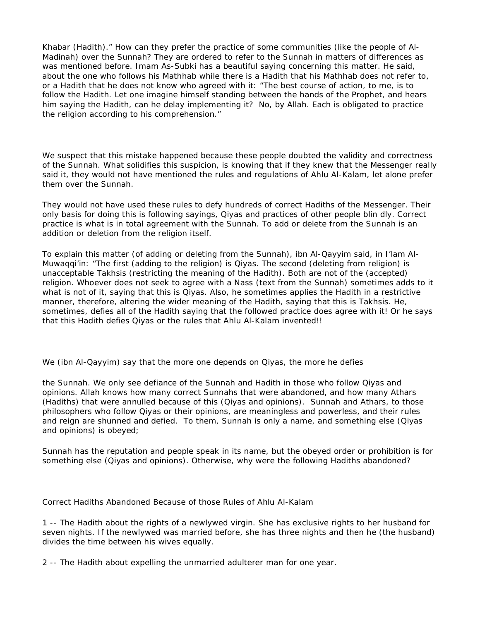Khabar (Hadith)." How can they prefer the practice of some communities (like the people of Al-Madinah) over the Sunnah? They are ordered to refer to the Sunnah in matters of differences as was mentioned before. Imam As-Subki has a beautiful saying concerning this matter. He said, about the one who follows his Mathhab while there is a Hadith that his Mathhab does not refer to, or a Hadith that he does not know who agreed with it: "The best course of action, to me, is to follow the Hadith. Let one imagine himself standing between the hands of the Prophet, and hears him saying the Hadith, can he delay implementing it? No, by Allah. Each is obligated to practice the religion according to his comprehension."

We suspect that this mistake happened because these people doubted the validity and correctness of the Sunnah. What solidifies this suspicion, is knowing that if they knew that the Messenger really said it, they would not have mentioned the rules and regulations of Ahlu Al-Kalam, let alone prefer them over the Sunnah.

They would not have used these rules to defy hundreds of correct Hadiths of the Messenger. Their only basis for doing this is following sayings, Qiyas and practices of other people blin dly. Correct practice is what is in total agreement with the Sunnah. To add or delete from the Sunnah is an addition or deletion from the religion itself.

To explain this matter (of adding or deleting from the Sunnah), ibn Al-Qayyim said, in I'lam Al-Muwaqqi'in: "The first (adding to the religion) is Qiyas. The second (deleting from religion) is unacceptable Takhsis (restricting the meaning of the Hadith). Both are not of the (accepted) religion. Whoever does not seek to agree with a Nass (text from the Sunnah) sometimes adds to it what is not of it, saying that this is Qiyas. Also, he sometimes applies the Hadith in a restrictive manner, therefore, altering the wider meaning of the Hadith, saying that this is Takhsis. He, sometimes, defies all of the Hadith saying that the followed practice does agree with it! Or he says that this Hadith defies Qiyas or the rules that Ahlu Al-Kalam invented!!

We (ibn Al-Qayyim) say that the more one depends on Qiyas, the more he defies

the Sunnah. We only see defiance of the Sunnah and Hadith in those who follow Qiyas and opinions. Allah knows how many correct Sunnahs that were abandoned, and how many Athars (Hadiths) that were annulled because of this (Qiyas and opinions). Sunnah and Athars, to those philosophers who follow Qiyas or their opinions, are meaningless and powerless, and their rules and reign are shunned and defied. To them, Sunnah is only a name, and something else (Qiyas and opinions) is obeyed;

Sunnah has the reputation and people speak in its name, but the obeyed order or prohibition is for something else (Qiyas and opinions). Otherwise, why were the following Hadiths abandoned?

Correct Hadiths Abandoned Because of those Rules of Ahlu Al-Kalam

1 -- The Hadith about the rights of a newlywed virgin. She has exclusive rights to her husband for seven nights. If the newlywed was married before, she has three nights and then he (the husband) divides the time between his wives equally.

2 -- The Hadith about expelling the unmarried adulterer man for one year.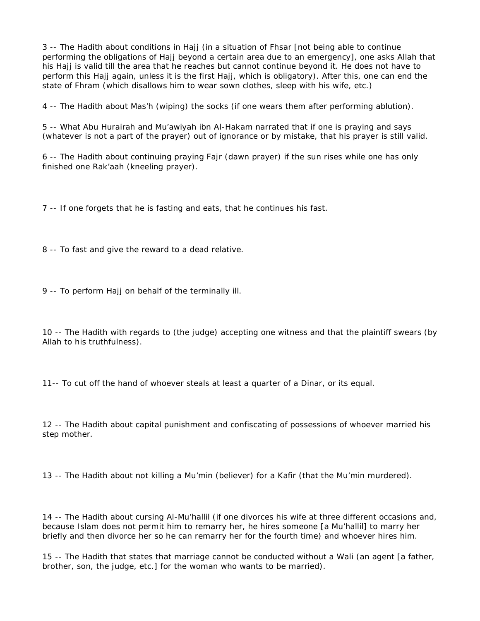3 -- The Hadith about conditions in Hajj (in a situation of Fhsar [not being able to continue performing the obligations of Hajj beyond a certain area due to an emergency], one asks Allah that his Hajj is valid till the area that he reaches but cannot continue beyond it. He does not have to perform this Hajj again, unless it is the first Hajj, which is obligatory). After this, one can end the state of Fhram (which disallows him to wear sown clothes, sleep with his wife, etc.)

4 -- The Hadith about Mas'h (wiping) the socks (if one wears them after performing ablution).

5 -- What Abu Hurairah and Mu'awiyah ibn Al-Hakam narrated that if one is praying and says (whatever is not a part of the prayer) out of ignorance or by mistake, that his prayer is still valid.

6 -- The Hadith about continuing praying Fajr (dawn prayer) if the sun rises while one has only finished one Rak'aah (kneeling prayer).

7 -- If one forgets that he is fasting and eats, that he continues his fast.

8 -- To fast and give the reward to a dead relative.

9 -- To perform Hajj on behalf of the terminally ill.

10 -- The Hadith with regards to (the judge) accepting one witness and that the plaintiff swears (by Allah to his truthfulness).

11-- To cut off the hand of whoever steals at least a quarter of a Dinar, or its equal.

12 -- The Hadith about capital punishment and confiscating of possessions of whoever married his step mother.

13 -- The Hadith about not killing a Mu'min (believer) for a Kafir (that the Mu'min murdered).

14 -- The Hadith about cursing Al-Mu'hallil (if one divorces his wife at three different occasions and, because Islam does not permit him to remarry her, he hires someone [a Mu'hallil] to marry her briefly and then divorce her so he can remarry her for the fourth time) and whoever hires him.

15 -- The Hadith that states that marriage cannot be conducted without a Wali (an agent [a father, brother, son, the judge, etc.] for the woman who wants to be married).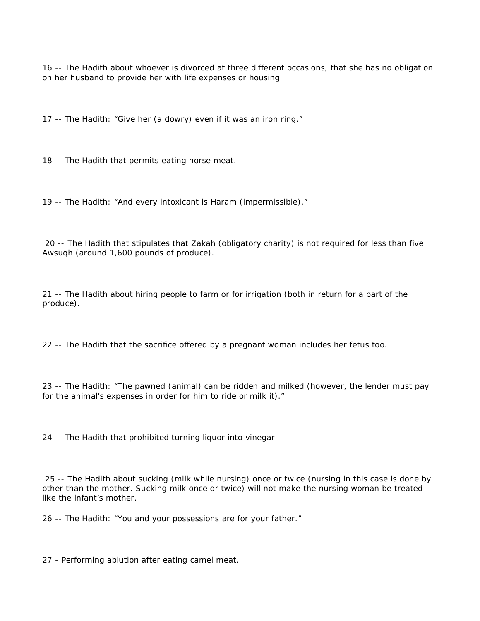-- The Hadith about whoever is divorced at three different occasions, that she has no obligation on her husband to provide her with life expenses or housing.

-- The Hadith: "Give her (a dowry) even if it was an iron ring."

-- The Hadith that permits eating horse meat.

-- The Hadith: "And every intoxicant is Haram (impermissible)."

 -- The Hadith that stipulates that Zakah (obligatory charity) is not required for less than five Awsuqh (around 1,600 pounds of produce).

 -- The Hadith about hiring people to farm or for irrigation (both in return for a part of the produce).

-- The Hadith that the sacrifice offered by a pregnant woman includes her fetus too.

 -- The Hadith: "The pawned (animal) can be ridden and milked (however, the lender must pay for the animal's expenses in order for him to ride or milk it)."

-- The Hadith that prohibited turning liquor into vinegar.

 -- The Hadith about sucking (milk while nursing) once or twice (nursing in this case is done by other than the mother. Sucking milk once or twice) will not make the nursing woman be treated like the infant's mother.

-- The Hadith: "You and your possessions are for your father."

- Performing ablution after eating camel meat.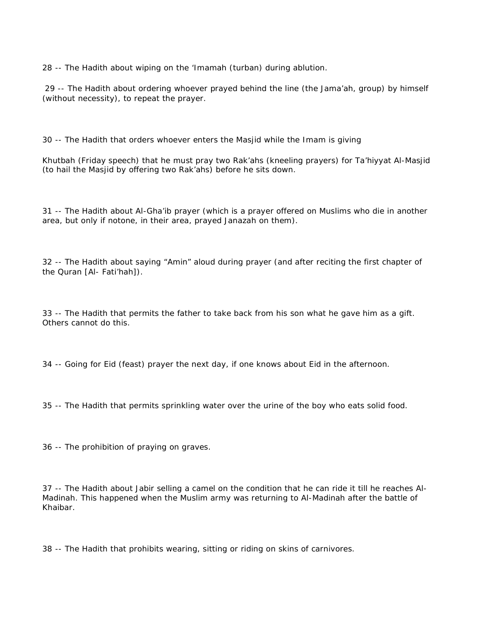28 -- The Hadith about wiping on the 'Imamah (turban) during ablution.

29 -- The Hadith about ordering whoever prayed behind the line (the Jama'ah, group) by himself (without necessity), to repeat the prayer.

30 -- The Hadith that orders whoever enters the Masjid while the Imam is giving

Khutbah (Friday speech) that he must pray two Rak'ahs (kneeling prayers) for Ta'hiyyat Al-Masjid (to hail the Masjid by offering two Rak'ahs) before he sits down.

31 -- The Hadith about Al-Gha'ib prayer (which is a prayer offered on Muslims who die in another area, but only if notone, in their area, prayed Janazah on them).

32 -- The Hadith about saying "Amin" aloud during prayer (and after reciting the first chapter of the Quran [Al- Fati'hah]).

33 -- The Hadith that permits the father to take back from his son what he gave him as a gift. Others cannot do this.

34 -- Going for Eid (feast) prayer the next day, if one knows about Eid in the afternoon.

35 -- The Hadith that permits sprinkling water over the urine of the boy who eats solid food.

36 -- The prohibition of praying on graves.

37 -- The Hadith about Jabir selling a camel on the condition that he can ride it till he reaches Al-Madinah. This happened when the Muslim army was returning to Al-Madinah after the battle of Khaibar.

38 -- The Hadith that prohibits wearing, sitting or riding on skins of carnivores.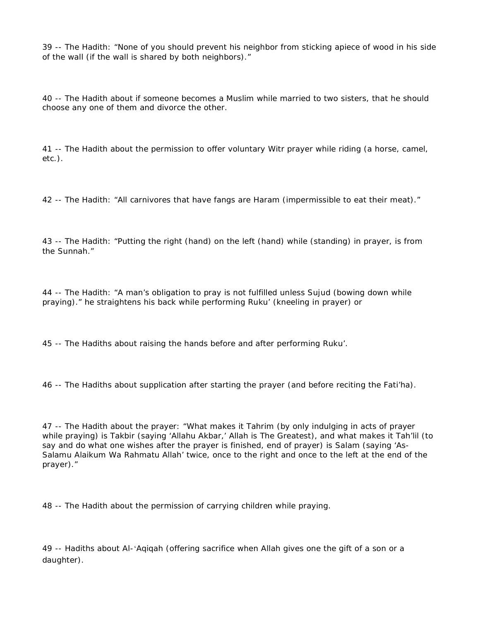39 -- The Hadith: "None of you should prevent his neighbor from sticking apiece of wood in his side of the wall (if the wall is shared by both neighbors)."

40 -- The Hadith about if someone becomes a Muslim while married to two sisters, that he should choose any one of them and divorce the other.

41 -- The Hadith about the permission to offer voluntary Witr prayer while riding (a horse, camel, etc.).

42 -- The Hadith: "All carnivores that have fangs are Haram (impermissible to eat their meat)."

43 -- The Hadith: "Putting the right (hand) on the left (hand) while (standing) in prayer, is from the Sunnah."

44 -- The Hadith: "A man's obligation to pray is not fulfilled unless Sujud (bowing down while praying)." he straightens his back while performing Ruku' (kneeling in prayer) or

45 -- The Hadiths about raising the hands before and after performing Ruku'.

46 -- The Hadiths about supplication after starting the prayer (and before reciting the Fati'ha).

47 -- The Hadith about the prayer: "What makes it Tahrim (by only indulging in acts of prayer while praying) is Takbir (saying 'Allahu Akbar,' Allah is The Greatest), and what makes it Tah'lil (to say and do what one wishes after the prayer is finished, end of prayer) is Salam (saying 'As-Salamu Alaikum Wa Rahmatu Allah' twice, once to the right and once to the left at the end of the prayer)."

48 -- The Hadith about the permission of carrying children while praying.

49 -- Hadiths about Al-'Aqiqah (offering sacrifice when Allah gives one the gift of a son or a daughter).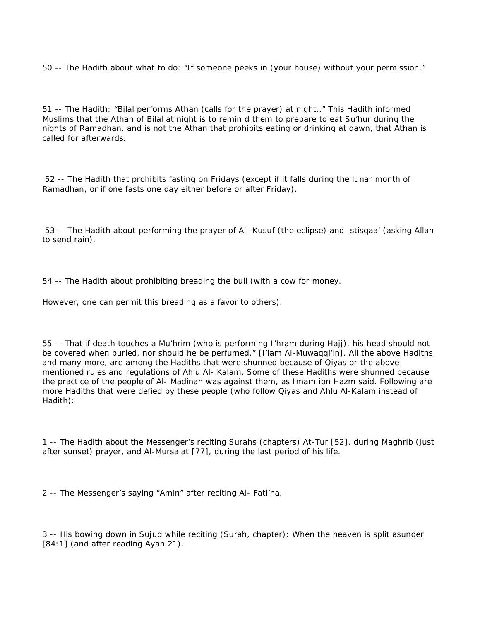50 -- The Hadith about what to do: "If someone peeks in (your house) without your permission."

51 -- The Hadith: "Bilal performs Athan (calls for the prayer) at night.." This Hadith informed Muslims that the Athan of Bilal at night is to remin d them to prepare to eat Su'hur during the nights of Ramadhan, and is not the Athan that prohibits eating or drinking at dawn, that Athan is called for afterwards.

52 -- The Hadith that prohibits fasting on Fridays (except if it falls during the lunar month of Ramadhan, or if one fasts one day either before or after Friday).

53 -- The Hadith about performing the prayer of Al- Kusuf (the eclipse) and Istisqaa' (asking Allah to send rain).

54 -- The Hadith about prohibiting breading the bull (with a cow for money.

However, one can permit this breading as a favor to others).

55 -- That if death touches a Mu'hrim (who is performing I'hram during Hajj), his head should not be covered when buried, nor should he be perfumed." [I'lam Al-Muwaqqi'in]. All the above Hadiths, and many more, are among the Hadiths that were shunned because of Qiyas or the above mentioned rules and regulations of Ahlu Al- Kalam. Some of these Hadiths were shunned because the practice of the people of Al- Madinah was against them, as Imam ibn Hazm said. Following are more Hadiths that were defied by these people (who follow Qiyas and Ahlu Al-Kalam instead of Hadith):

1 -- The Hadith about the Messenger's reciting Surahs (chapters) At-Tur [52], during Maghrib (just after sunset) prayer, and Al-Mursalat [77], during the last period of his life.

2 -- The Messenger's saying "Amin" after reciting Al- Fati'ha.

3 -- His bowing down in Sujud while reciting (Surah, chapter): When the heaven is split asunder [84:1] (and after reading Ayah 21).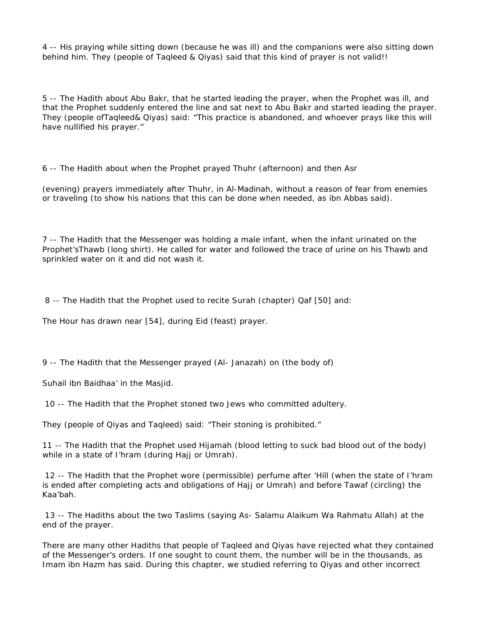4 -- His praying while sitting down (because he was ill) and the companions were also sitting down behind him. They (people of Taqleed & Qiyas) said that this kind of prayer is not valid!!

5 -- The Hadith about Abu Bakr, that he started leading the prayer, when the Prophet was ill, and that the Prophet suddenly entered the line and sat next to Abu Bakr and started leading the prayer. They (people ofTaqleed& Qiyas) said: "This practice is abandoned, and whoever prays like this will have nullified his prayer."

6 -- The Hadith about when the Prophet prayed Thuhr (afternoon) and then Asr

(evening) prayers immediately after Thuhr, in Al-Madinah, without a reason of fear from enemies or traveling (to show his nations that this can be done when needed, as ibn Abbas said).

7 -- The Hadith that the Messenger was holding a male infant, when the infant urinated on the Prophet'sThawb (long shirt). He called for water and followed the trace of urine on his Thawb and sprinkled water on it and did not wash it.

8 -- The Hadith that the Prophet used to recite Surah (chapter) Qaf [50] and:

The Hour has drawn near [54], during Eid (feast) prayer.

9 -- The Hadith that the Messenger prayed (Al- Janazah) on (the body of)

Suhail ibn Baidhaa' in the Masjid.

10 -- The Hadith that the Prophet stoned two Jews who committed adultery.

They (people of Qiyas and Taqleed) said: "Their stoning is prohibited."

11 -- The Hadith that the Prophet used Hijamah (blood letting to suck bad blood out of the body) while in a state of I'hram (during Hajj or Umrah).

12 -- The Hadith that the Prophet wore (permissible) perfume after 'Hill (when the state of I'hram is ended after completing acts and obligations of Hajj or Umrah) and before Tawaf (circling) the Kaa'bah.

13 -- The Hadiths about the two Taslims (saying As- Salamu Alaikum Wa Rahmatu Allah) at the end of the prayer.

There are many other Hadiths that people of Taqleed and Qiyas have rejected what they contained of the Messenger's orders. If one sought to count them, the number will be in the thousands, as Imam ibn Hazm has said. During this chapter, we studied referring to Qiyas and other incorrect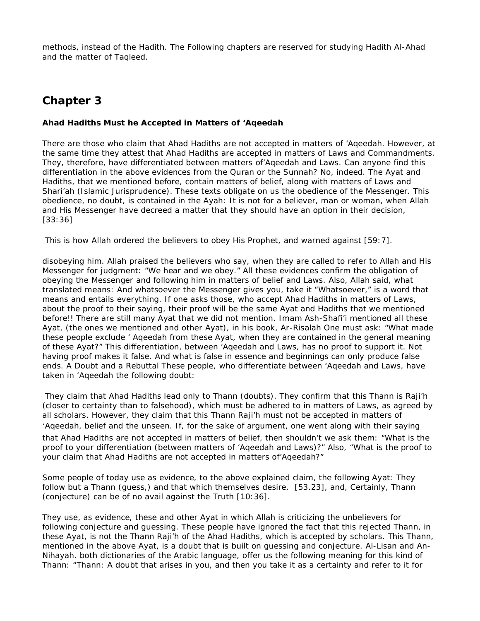methods, instead of the Hadith. The Following chapters are reserved for studying Hadith Al-Ahad and the matter of Taqleed.

# **Chapter 3**

**Ahad Hadiths Must he Accepted in Matters of 'Aqeedah**

There are those who claim that Ahad Hadiths are not accepted in matters of 'Aqeedah. However, at the same time they attest that Ahad Hadiths are accepted in matters of Laws and Commandments. They, therefore, have differentiated between matters of'Aqeedah and Laws. Can anyone find this differentiation in the above evidences from the Quran or the Sunnah? No, indeed. The Ayat and Hadiths, that we mentioned before, contain matters of belief, along with matters of Laws and Shari'ah (Islamic Jurisprudence). These texts obligate on us the obedience of the Messenger. This obedience, no doubt, is contained in the Ayah: It is not for a believer, man or woman, when Allah and His Messenger have decreed a matter that they should have an option in their decision, [33:36]

This is how Allah ordered the believers to obey His Prophet, and warned against [59:7].

disobeying him. Allah praised the believers who say, when they are called to refer to Allah and His Messenger for judgment: "We hear and we obey." All these evidences confirm the obligation of obeying the Messenger and following him in matters of belief and Laws. Also, Allah said, what translated means: And whatsoever the Messenger gives you, take it "Whatsoever," is a word that means and entails everything. If one asks those, who accept Ahad Hadiths in matters of Laws, about the proof to their saying, their proof will be the same Ayat and Hadiths that we mentioned before!! There are still many Ayat that we did not mention. Imam Ash-Shafi'i mentioned all these Ayat, (the ones we mentioned and other Ayat), in his book, Ar-Risalah One must ask: "What made these people exclude ' Aqeedah from these Ayat, when they are contained in the general meaning of these Ayat?" This differentiation, between 'Aqeedah and Laws, has no proof to support it. Not having proof makes it false. And what is false in essence and beginnings can only produce false ends. A Doubt and a Rebuttal These people, who differentiate between 'Aqeedah and Laws, have taken in 'Aqeedah the following doubt:

They claim that Ahad Hadiths lead only to Thann (doubts). They confirm that this Thann is Raji'h (closer to certainty than to falsehood), which must be adhered to in matters of Laws, as agreed by all scholars. However, they claim that this Thann Raji'h must not be accepted in matters of 'Aqeedah, belief and the unseen. If, for the sake of argument, one went along with their saying that Ahad Hadiths are not accepted in matters of belief, then shouldn't we ask them: "What is the proof to your differentiation (between matters of 'Aqeedah and Laws)?" Also, "What is the proof to your claim that Ahad Hadiths are not accepted in matters of'Aqeedah?"

Some people of today use as evidence, to the above explained claim, the following Ayat: They follow but a Thann (guess,) and that which themselves desire. [53.23], and, Certainly, Thann (conjecture) can be of no avail against the Truth [10:36].

They use, as evidence, these and other Ayat in which Allah is criticizing the unbelievers for following conjecture and guessing. These people have ignored the fact that this rejected Thann, in these Ayat, is not the Thann Raji'h of the Ahad Hadiths, which is accepted by scholars. This Thann, mentioned in the above Ayat, is a doubt that is built on guessing and conjecture. Al-Lisan and An-Nihayah. both dictionaries of the Arabic language, offer us the following meaning for this kind of Thann: "Thann: A doubt that arises in you, and then you take it as a certainty and refer to it for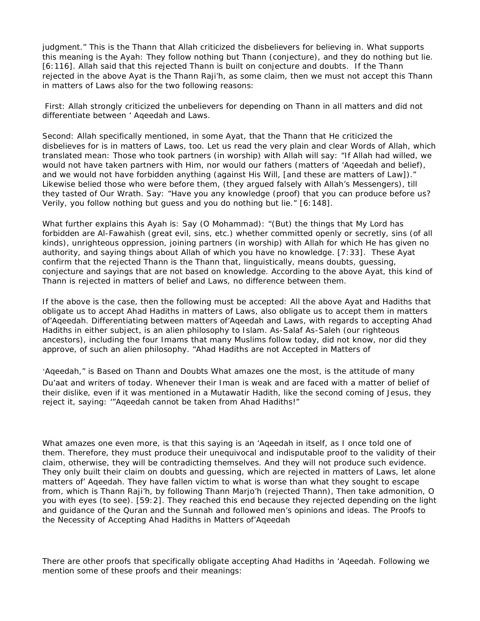judgment." This is the Thann that Allah criticized the disbelievers for believing in. What supports this meaning is the Ayah: They follow nothing but Thann (conjecture), and they do nothing but lie. [6:116]. Allah said that this rejected Thann is built on conjecture and doubts. If the Thann rejected in the above Ayat is the Thann Raji'h, as some claim, then we must not accept this Thann in matters of Laws also for the two following reasons:

First: Allah strongly criticized the unbelievers for depending on Thann in all matters and did not differentiate between ' Aqeedah and Laws.

Second: Allah specifically mentioned, in some Ayat, that the Thann that He criticized the disbelieves for is in matters of Laws, too. Let us read the very plain and clear Words of Allah, which translated mean: Those who took partners (in worship) with Allah will say: "If Allah had willed, we would not have taken partners with Him, nor would our fathers (matters of 'Aqeedah and belief), and we would not have forbidden anything (against His Will, [and these are matters of Law])." Likewise belied those who were before them, (they argued falsely with Allah's Messengers), till they tasted of Our Wrath. Say: "Have you any knowledge (proof) that you can produce before us? Verily, you follow nothing but guess and you do nothing but lie." [6:148].

What further explains this Ayah is: Say (O Mohammad): "(But) the things that My Lord has forbidden are Al-Fawahish (great evil, sins, etc.) whether committed openly or secretly, sins (of all kinds), unrighteous oppression, joining partners (in worship) with Allah for which He has given no authority, and saying things about Allah of which you have no knowledge. [7:33]. These Ayat confirm that the rejected Thann is the Thann that, linguistically, means doubts, guessing, conjecture and sayings that are not based on knowledge. According to the above Ayat, this kind of Thann is rejected in matters of belief and Laws, no difference between them.

If the above is the case, then the following must be accepted: All the above Ayat and Hadiths that obligate us to accept Ahad Hadiths in matters of Laws, also obligate us to accept them in matters of'Aqeedah. Differentiating between matters of'Aqeedah and Laws, with regards to accepting Ahad Hadiths in either subject, is an alien philosophy to Islam. As-Salaf As-Saleh (our righteous ancestors), including the four Imams that many Muslims follow today, did not know, nor did they approve, of such an alien philosophy. "Ahad Hadiths are not Accepted in Matters of

'Aqeedah," is Based on Thann and Doubts What amazes one the most, is the attitude of many Du'aat and writers of today. Whenever their Iman is weak and are faced with a matter of belief of their dislike, even if it was mentioned in a Mutawatir Hadith, like the second coming of Jesus, they reject it, saying: '"Aqeedah cannot be taken from Ahad Hadiths!"

What amazes one even more, is that this saying is an 'Aqeedah in itself, as I once told one of them. Therefore, they must produce their unequivocal and indisputable proof to the validity of their claim, otherwise, they will be contradicting themselves. And they will not produce such evidence. They only built their claim on doubts and guessing, which are rejected in matters of Laws, let alone matters of' Aqeedah. They have fallen victim to what is worse than what they sought to escape from, which is Thann Raji'h, by following Thann Marjo'h (rejected Thann), Then take admonition, O you with eyes (to see). [59:2]. They reached this end because they rejected depending on the light and guidance of the Quran and the Sunnah and followed men's opinions and ideas. The Proofs to the Necessity of Accepting Ahad Hadiths in Matters of'Aqeedah

There are other proofs that specifically obligate accepting Ahad Hadiths in 'Aqeedah. Following we mention some of these proofs and their meanings: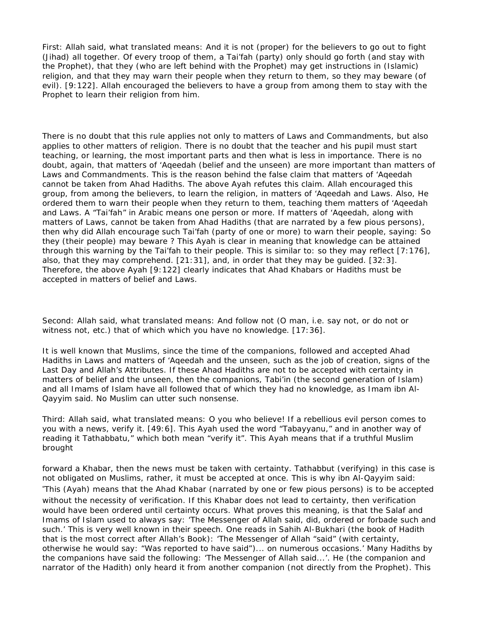First: Allah said, what translated means: And it is not (proper) for the believers to go out to fight (Jihad) all together. Of every troop of them, a Tai'fah (party) only should go forth (and stay with the Prophet), that they (who are left behind with the Prophet) may get instructions in (Islamic) religion, and that they may warn their people when they return to them, so they may beware (of evil). [9:122]. Allah encouraged the believers to have a group from among them to stay with the Prophet to learn their religion from him.

There is no doubt that this rule applies not only to matters of Laws and Commandments, but also applies to other matters of religion. There is no doubt that the teacher and his pupil must start teaching, or learning, the most important parts and then what is less in importance. There is no doubt, again, that matters of 'Aqeedah (belief and the unseen) are more important than matters of Laws and Commandments. This is the reason behind the false claim that matters of 'Aqeedah cannot be taken from Ahad Hadiths. The above Ayah refutes this claim. Allah encouraged this group, from among the believers, to learn the religion, in matters of 'Aqeedah and Laws. Also, He ordered them to warn their people when they return to them, teaching them matters of 'Aqeedah and Laws. A "Tai'fah" in Arabic means one person or more. If matters of 'Aqeedah, along with matters of Laws, cannot be taken from Ahad Hadiths (that are narrated by a few pious persons), then why did Allah encourage such Tai'fah (party of one or more) to warn their people, saying: So they (their people) may beware ? This Ayah is clear in meaning that knowledge can be attained through this warning by the Tai'fah to their people. This is similar to: so they may reflect [7:176], also, that they may comprehend.  $[21:31]$ , and, in order that they may be quided.  $[32:3]$ . Therefore, the above Ayah [9:122] clearly indicates that Ahad Khabars or Hadiths must be accepted in matters of belief and Laws.

Second: Allah said, what translated means: And follow not (O man, i.e. say not, or do not or witness not, etc.) that of which which you have no knowledge. [17:36].

It is well known that Muslims, since the time of the companions, followed and accepted Ahad Hadiths in Laws and matters of 'Aqeedah and the unseen, such as the job of creation, signs of the Last Day and Allah's Attributes. If these Ahad Hadiths are not to be accepted with certainty in matters of belief and the unseen, then the companions, Tabi'in (the second generation of Islam) and all Imams of Islam have all followed that of which they had no knowledge, as Imam ibn Al-Qayyim said. No Muslim can utter such nonsense.

Third: Allah said, what translated means: O you who believe! If a rebellious evil person comes to you with a news, verify it. [49:6]. This Ayah used the word "Tabayyanu," and in another way of reading it Tathabbatu," which both mean "verify it". This Ayah means that if a truthful Muslim brought

forward a Khabar, then the news must be taken with certainty. Tathabbut (verifying) in this case is not obligated on Muslims, rather, it must be accepted at once. This is why ibn Al-Qayyim said: "This (Ayah) means that the Ahad Khabar (narrated by one or few pious persons) is to be accepted without the necessity of verification. If this Khabar does not lead to certainty, then verification would have been ordered until certainty occurs. What proves this meaning, is that the Salaf and Imams of Islam used to always say: 'The Messenger of Allah said, did, ordered or forbade such and such.' This is very well known in their speech. One reads in Sahih Al-Bukhari (the book of Hadith that is the most correct after Allah's Book): 'The Messenger of Allah "said" (with certainty, otherwise he would say: "Was reported to have said")... on numerous occasions.' Many Hadiths by the companions have said the following: 'The Messenger of Allah said...'. He (the companion and narrator of the Hadith) only heard it from another companion (not directly from the Prophet). This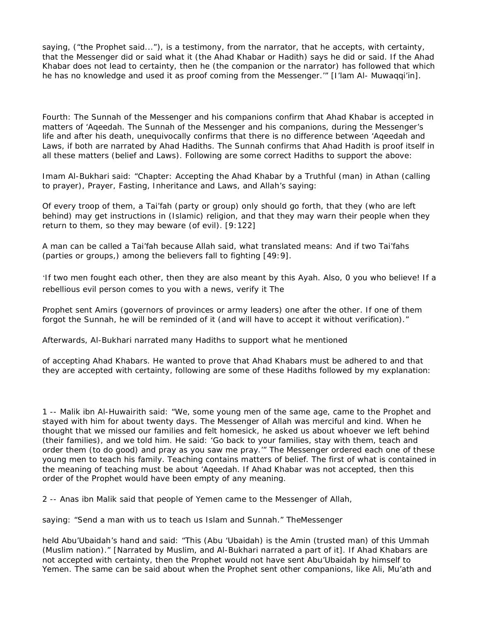saying, ("the Prophet said..."), is a testimony, from the narrator, that he accepts, with certainty, that the Messenger did or said what it (the Ahad Khabar or Hadith) says he did or said. If the Ahad Khabar does not lead to certainty, then he (the companion or the narrator) has followed that which he has no knowledge and used it as proof coming from the Messenger." [I'lam Al- Muwaqqi'in].

Fourth: The Sunnah of the Messenger and his companions confirm that Ahad Khabar is accepted in matters of 'Aqeedah. The Sunnah of the Messenger and his companions, during the Messenger's life and after his death, unequivocally confirms that there is no difference between 'Aqeedah and Laws, if both are narrated by Ahad Hadiths. The Sunnah confirms that Ahad Hadith is proof itself in all these matters (belief and Laws). Following are some correct Hadiths to support the above:

Imam Al-Bukhari said: "Chapter: Accepting the Ahad Khabar by a Truthful (man) in Athan (calling to prayer), Prayer, Fasting, Inheritance and Laws, and Allah's saying:

Of every troop of them, a Tai'fah (party or group) only should go forth, that they (who are left behind) may get instructions in (Islamic) religion, and that they may warn their people when they return to them, so they may beware (of evil). [9:122]

A man can be called a Tai'fah because Allah said, what translated means: And if two Tai'fahs (parties or groups,) among the believers fall to fighting [49:9].

'If two men fought each other, then they are also meant by this Ayah. Also, 0 you who believe! If a rebellious evil person comes to you with a news, verify it The

Prophet sent Amirs (governors of provinces or army leaders) one after the other. If one of them forgot the Sunnah, he will be reminded of it (and will have to accept it without verification)."

Afterwards, Al-Bukhari narrated many Hadiths to support what he mentioned

of accepting Ahad Khabars. He wanted to prove that Ahad Khabars must be adhered to and that they are accepted with certainty, following are some of these Hadiths followed by my explanation:

1 -- Malik ibn Al-Huwairith said: "We, some young men of the same age, came to the Prophet and stayed with him for about twenty days. The Messenger of Allah was merciful and kind. When he thought that we missed our families and felt homesick, he asked us about whoever we left behind (their families), and we told him. He said: 'Go back to your families, stay with them, teach and order them (to do good) and pray as you saw me pray.'" The Messenger ordered each one of these young men to teach his family. Teaching contains matters of belief. The first of what is contained in the meaning of teaching must be about 'Aqeedah. If Ahad Khabar was not accepted, then this order of the Prophet would have been empty of any meaning.

2 -- Anas ibn Malik said that people of Yemen came to the Messenger of Allah,

saying: "Send a man with us to teach us Islam and Sunnah." TheMessenger

held Abu'Ubaidah's hand and said: "This (Abu 'Ubaidah) is the Amin (trusted man) of this Ummah (Muslim nation)." [Narrated by Muslim, and Al-Bukhari narrated a part of it]. If Ahad Khabars are not accepted with certainty, then the Prophet would not have sent Abu'Ubaidah by himself to Yemen. The same can be said about when the Prophet sent other companions, like Ali, Mu'ath and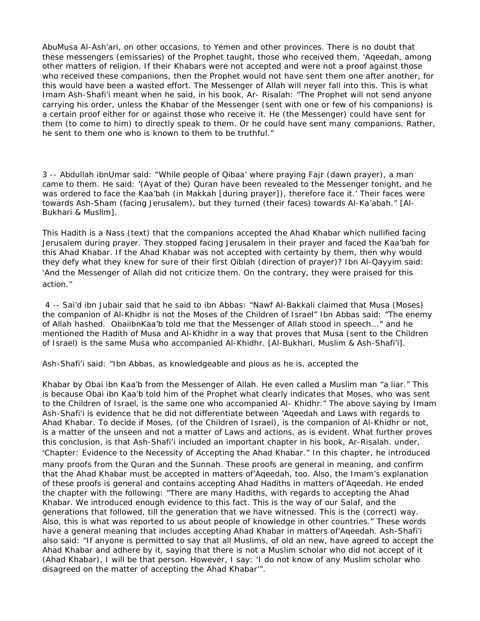AbuMusa Al-Ash'ari, on other occasions, to Yemen and other provinces. There is no doubt that these messengers (emissaries) of the Prophet taught, those who received them, 'Aqeedah, among other matters of religion. If their Khabars were not accepted and were not a proof against those who received these companions, then the Prophet would not have sent them one after another, for this would have been a wasted effort. The Messenger of Allah will neyer fall into this. This is what Imam Ash-Shafi'i meant when he said, in his book, Ar- Risalah: "The Prophet will not send anyone carrying his order, unless the Khabar of the Messenger (sent with one or few of his companions) is a certain proof either for or against those who receive it. He (the Messenger) could have sent for them (to come to him) to directly speak to them. Or he could have sent many companions. Rather, he sent to them one who is known to them to be truthful."

3 -- Abdullah ibnUmar said: "While people of Qibaa' where praying Fajr (dawn prayer), a man came to them. He said: '(Ayat of the) Quran have been revealed to the Messenger tonight, and he was ordered to face the Kaa'bah (in Makkah [during prayer]), therefore face it.' Their faces were towards Ash-Sham (facing Jerusalem), but they turned (their faces) towards Al-Ka'abah." [Al-Bukhari & Muslim].

This Hadith is a Nass (text) that the companions accepted the Ahad Khabar which nullified facing Jerusalem during prayer. They stopped facing Jerusalem in their prayer and faced the Kaa'bah for this Ahad Khabar. If the Ahad Khabar was not accepted with certainty by them, then why would they defy what they knew for sure of their first Qiblah (direction of prayer)? Ibn Al-Qayyim said: "And the Messenger of Allah did not criticize them. On the contrary, they were praised for this action."

4 -- Sai'd ibn Jubair said that he said to ibn Abbas: "Nawf Al-Bakkali claimed that Musa (Moses) the companion of Al-Khidhr is not the Moses of the Children of Israel" Ibn Abbas said: "The enemy of Allah hashed. ObaiibnKaa'b told me that the Messenger of Allah stood in speech..." and he mentioned the Hadith of Musa and Al-Khidhr in a way that proves that Musa (sent to the Children of Israel) is the same Musa who accompanied Al-Khidhr. [Al-Bukhari, Muslim & Ash-Shafi'i].

Ash-Shafi'i said: "Ibn Abbas, as knowledgeable and pious as he is, accepted the

Khabar by Obai ibn Kaa'b from the Messenger of Allah. He even called a Muslim man "a liar." This is because Obai ibn Kaa'b told him of the Prophet what clearly indicates that Moses, who was sent to the Children of Israel, is the same one who accompanied Al- Khidhr." The above saying by Imam Ash-Shafi'i is evidence that he did not differentiate between 'Aqeedah and Laws with regards to Ahad Khabar. To decide if Moses, (of the Children of Israel), is the companion of Al-Khidhr or not, is a matter of the unseen and not a matter of Laws and actions, as is evident. What further proves this conclusion, is that Ash-Shafi'i included an important chapter in his book, Ar-Risalah. under, "Chapter: Evidence to the Necessity of Accepting the Ahad Khabar." In this chapter, he introduced many proofs from the Quran and the Sunnah. These proofs are general in meaning, and confirm that the Ahad Khabar must be accepted in matters of'Aqeedah, too. Also, the Imam's explanation of these proofs is general and contains accepting Ahad Hadiths in matters of'Aqeedah. He ended the chapter with the following: "There are many Hadiths, with regards to accepting the Ahad Khabar. We introduced enough evidence to this fact. This is the way of our Salaf, and the generations that followed, till the generation that we have witnessed. This is the (correct) way. Also, this is what was reported to us about people of knowledge in other countries." These words have a general meaning that includes accepting Ahad Khabar in matters of'Aqeedah. Ash-Shafi'i also said: "If anyone is permitted to say that all Muslims, of old an new, have agreed to accept the Ahad Khabar and adhere by it, saying that there is not a Muslim scholar who did not accept of it (Ahad Khabar), I will be that person. However, I say: 'I do not know of any Muslim scholar who disagreed on the matter of accepting the Ahad Khabar'".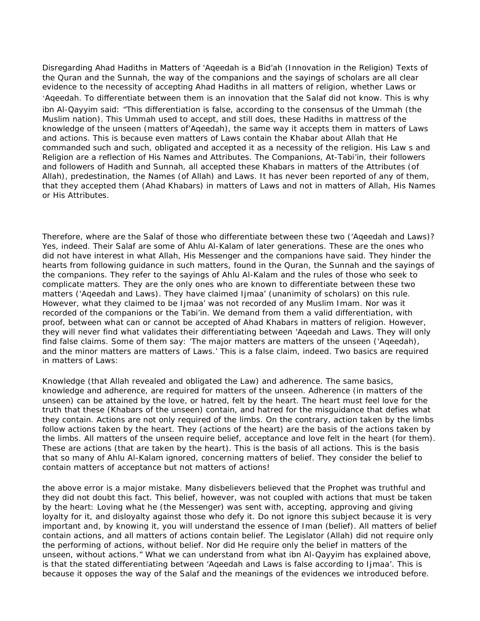Disregarding Ahad Hadiths in Matters of 'Aqeedah is a Bid'ah (Innovation in the Religion) Texts of the Quran and the Sunnah, the way of the companions and the sayings of scholars are all clear evidence to the necessity of accepting Ahad Hadiths in all matters of religion, whether Laws or 'Aqeedah. To differentiate between them is an innovation that the Salaf did not know. This is why ibn Al-Qayyim said: "This differentiation is false, according to the consensus of the Ummah (the Muslim nation). This Ummah used to accept, and still does, these Hadiths in mattress of the knowledge of the unseen (matters of'Aqeedah), the same way it accepts them in matters of Laws and actions. This is because even matters of Laws contain the Khabar about Allah that He commanded such and such, obligated and accepted it as a necessity of the religion. His Law s and Religion are a reflection of His Names and Attributes. The Companions, At-Tabi'in, their followers and followers of Hadith and Sunnah, all accepted these Khabars in matters of the Attributes (of Allah), predestination, the Names (of Allah) and Laws. It has never been reported of any of them, that they accepted them (Ahad Khabars) in matters of Laws and not in matters of Allah, His Names or His Attributes.

Therefore, where are the Salaf of those who differentiate between these two ('Aqeedah and Laws)? Yes, indeed. Their Salaf are some of Ahlu Al-Kalam of later generations. These are the ones who did not have interest in what Allah, His Messenger and the companions have said. They hinder the hearts from following guidance in such matters, found in the Quran, the Sunnah and the sayings of the companions. They refer to the sayings of Ahlu Al-Kalam and the rules of those who seek to complicate matters. They are the only ones who are known to differentiate between these two matters ('Aqeedah and Laws). They have claimed Ijmaa' (unanimity of scholars) on this rule. However, what they claimed to be Ijmaa' was not recorded of any Muslim Imam. Nor was it recorded of the companions or the Tabi'in. We demand from them a valid differentiation, with proof, between what can or cannot be accepted of Ahad Khabars in matters of religion. However, they will never find what validates their differentiating between 'Aqeedah and Laws. They will only find false claims. Some of them say: 'The major matters are matters of the unseen ('Aqeedah), and the minor matters are matters of Laws.' This is a false claim, indeed. Two basics are required in matters of Laws:

Knowledge (that Allah revealed and obligated the Law) and adherence. The same basics, knowledge and adherence, are required for matters of the unseen. Adherence (in matters of the unseen) can be attained by the love, or hatred, felt by the heart. The heart must feel love for the truth that these (Khabars of the unseen) contain, and hatred for the misguidance that defies what they contain. Actions are not only required of the limbs. On the contrary, action taken by the limbs follow actions taken by the heart. They (actions of the heart) are the basis of the actions taken by the limbs. All matters of the unseen require belief, acceptance and love felt in the heart (for them). These are actions (that are taken by the heart). This is the basis of all actions. This is the basis that so many of Ahlu Al-Kalam ignored, concerning matters of belief. They consider the belief to contain matters of acceptance but not matters of actions!

the above error is a major mistake. Many disbelievers believed that the Prophet was truthful and they did not doubt this fact. This belief, however, was not coupled with actions that must be taken by the heart: Loving what he (the Messenger) was sent with, accepting, approving and giving loyalty for it, and disloyalty against those who defy it. Do not ignore this subject because it is very important and, by knowing it, you will understand the essence of Iman (belief). All matters of belief contain actions, and all matters of actions contain belief. The Legislator (Allah) did not require only the performing of actions, without belief. Nor did He require only the belief in matters of the unseen, without actions." What we can understand from what ibn Al-Qayyim has explained above, is that the stated differentiating between 'Aqeedah and Laws is false according to Ijmaa'. This is because it opposes the way of the Salaf and the meanings of the evidences we introduced before.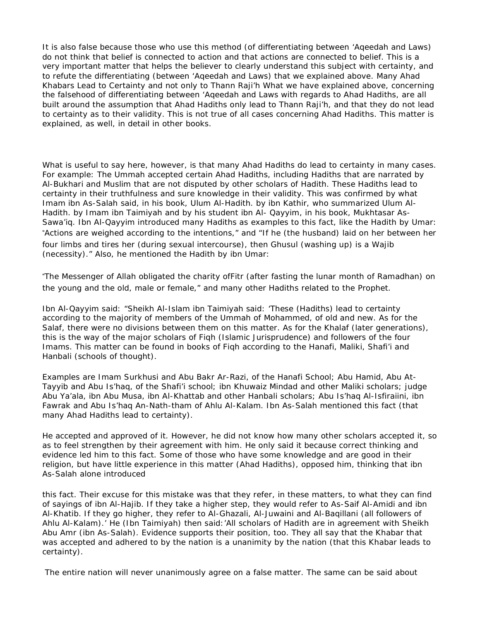It is also false because those who use this method (of differentiating between 'Aqeedah and Laws) do not think that belief is connected to action and that actions are connected to belief. This is a very important matter that helps the believer to clearly understand this subject with certainty, and to refute the differentiating (between 'Aqeedah and Laws) that we explained above. Many Ahad Khabars Lead to Certainty and not only to Thann Raji'h What we have explained above, concerning the falsehood of differentiating between 'Aqeedah and Laws with regards to Ahad Hadiths, are all built around the assumption that Ahad Hadiths only lead to Thann Raji'h, and that they do not lead to certainty as to their validity. This is not true of all cases concerning Ahad Hadiths. This matter is explained, as well, in detail in other books.

What is useful to say here, however, is that many Ahad Hadiths do lead to certainty in many cases. For example: The Ummah accepted certain Ahad Hadiths, including Hadiths that are narrated by Al-Bukhari and Muslim that are not disputed by other scholars of Hadith. These Hadiths lead to certainty in their truthfulness and sure knowledge in their validity. This was confirmed by what Imam ibn As-Salah said, in his book, Ulum Al-Hadith. by ibn Kathir, who summarized Ulum Al-Hadith. by Imam ibn Taimiyah and by his student ibn Al- Qayyim, in his book, Mukhtasar As-Sawa'iq. Ibn Al-Qayyim introduced many Hadiths as examples to this fact, like the Hadith by Umar: "Actions are weighed according to the intentions," and "If he (the husband) laid on her between her four limbs and tires her (during sexual intercourse), then Ghusul (washing up) is a Wajib (necessity)." Also, he mentioned the Hadith by ibn Umar:

"The Messenger of Allah obligated the charity ofFitr (after fasting the lunar month of Ramadhan) on the young and the old, male or female," and many other Hadiths related to the Prophet.

Ibn Al-Qayyim said: "Sheikh Al-Islam ibn Taimiyah said: 'These (Hadiths) lead to certainty according to the majority of members of the Ummah of Mohammed, of old and new. As for the Salaf, there were no divisions between them on this matter. As for the Khalaf (later generations), this is the way of the major scholars of Fiqh (Islamic Jurisprudence) and followers of the four Imams. This matter can be found in books of Fiqh according to the Hanafi, Maliki, Shafi'i and Hanbali (schools of thought).

Examples are Imam Surkhusi and Abu Bakr Ar-Razi, of the Hanafi School; Abu Hamid, Abu At-Tayyib and Abu Is'haq, of the Shafi'i school; ibn Khuwaiz Mindad and other Maliki scholars; judge Abu Ya'ala, ibn Abu Musa, ibn Al-Khattab and other Hanbali scholars; Abu Is'haq Al-Isfiraiini, ibn Fawrak and Abu Is'haq An-Nath-tham of Ahlu Al-Kalam. Ibn As-Salah mentioned this fact (that many Ahad Hadiths lead to certainty).

He accepted and approved of it. However, he did not know how many other scholars accepted it, so as to feel strengthen by their agreement with him. He only said it because correct thinking and evidence led him to this fact. Some of those who have some knowledge and are good in their religion, but have little experience in this matter (Ahad Hadiths), opposed him, thinking that ibn As-Salah alone introduced

this fact. Their excuse for this mistake was that they refer, in these matters, to what they can find of sayings of ibn Al-Hajib. If they take a higher step, they would refer to As-Saif Al-Amidi and ibn Al-Khatib. If they go higher, they refer to Al-Ghazali, Al-Juwaini and Al-Baqillani (all followers of Ahlu Al-Kalam).' He (Ibn Taimiyah) then said:'All scholars of Hadith are in agreement with Sheikh Abu Amr (ibn As-Salah). Evidence supports their position, too. They all say that the Khabar that was accepted and adhered to by the nation is a unanimity by the nation (that this Khabar leads to certainty).

The entire nation will never unanimously agree on a false matter. The same can be said about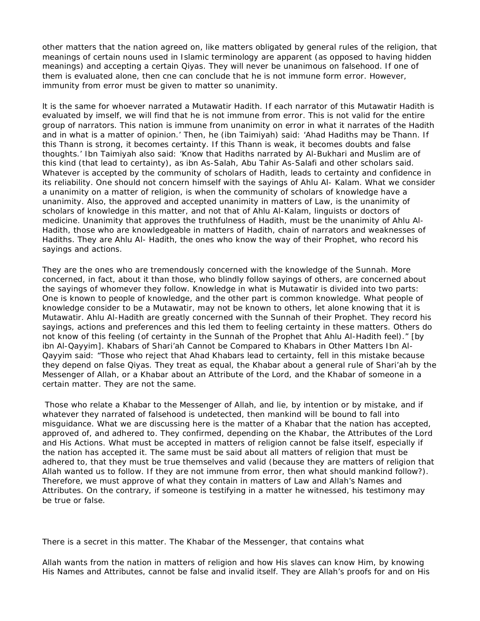other matters that the nation agreed on, like matters obligated by general rules of the religion, that meanings of certain nouns used in Islamic terminology are apparent (as opposed to having hidden meanings) and accepting a certain Qiyas. They will never be unanimous on falsehood. If one of them is evaluated alone, then cne can conclude that he is not immune form error. However, immunity from error must be given to matter so unanimity.

lt is the same for whoever narrated a Mutawatir Hadith. If each narrator of this Mutawatir Hadith is evaluated by imself, we will find that he is not immune from error. This is not valid for the entire group of narrators. This nation is immune from unanimity on error in what it narrates of the Hadith and in what is a matter of opinion.' Then, he (ibn Taimiyah) said: 'Ahad Hadiths may be Thann. If this Thann is strong, it becomes certainty. If this Thann is weak, it becomes doubts and false thoughts.' Ibn Taimiyah also said: 'Know that Hadiths narrated by Al-Bukhari and Muslim are of this kind (that lead to certainty), as ibn As-Salah, Abu Tahir As-Salafi and other scholars said. Whatever is accepted by the community of scholars of Hadith, leads to certainty and confidence in its reliability. One should not concern himself with the sayings of Ahlu Al- Kalam. What we consider a unanimity on a matter of religion, is when the community of scholars of knowledge have a unanimity. Also, the approved and accepted unanimity in matters of Law, is the unanimity of scholars of knowledge in this matter, and not that of Ahlu Al-Kalam, linguists or doctors of medicine. Unanimity that approves the truthfulness of Hadith, must be the unanimity of Ahlu Al-Hadith, those who are knowledgeable in matters of Hadith, chain of narrators and weaknesses of Hadiths. They are Ahlu Al- Hadith, the ones who know the way of their Prophet, who record his sayings and actions.

They are the ones who are tremendously concerned with the knowledge of the Sunnah. More concerned, in fact, about it than those, who blindly follow sayings of others, are concerned about the sayings of whomever they follow. Knowledge in what is Mutawatir is divided into two parts: One is known to people of knowledge, and the other part is common knowledge. What people of knowledge consider to be a Mutawatir, may not be known to others, let alone knowing that it is Mutawatir. Ahlu Al-Hadith are greatly concerned with the Sunnah of their Prophet. They record his sayings, actions and preferences and this led them to feeling certainty in these matters. Others do not know of this feeling (of certainty in the Sunnah of the Prophet that Ahlu Al-Hadith feel)." [by ibn Al-Qayyim]. Khabars of Shari'ah Cannot be Compared to Khabars in Other Matters Ibn Al-Qayyim said: "Those who reject that Ahad Khabars lead to certainty, fell in this mistake because they depend on false Qiyas. They treat as equal, the Khabar about a general rule of Shari'ah by the Messenger of Allah, or a Khabar about an Attribute of the Lord, and the Khabar of someone in a certain matter. They are not the same.

Those who relate a Khabar to the Messenger of Allah, and lie, by intention or by mistake, and if whatever they narrated of falsehood is undetected, then mankind will be bound to fall into misguidance. What we are discussing here is the matter of a Khabar that the nation has accepted, approved of, and adhered to. They confirmed, depending on the Khabar, the Attributes of the Lord and His Actions. What must be accepted in matters of religion cannot be false itself, especially if the nation has accepted it. The same must be said about all matters of religion that must be adhered to, that they must be true themselves and valid (because they are matters of religion that Allah wanted us to follow. If they are not immune from error, then what should mankind follow?). Therefore, we must approve of what they contain in matters of Law and Allah's Names and Attributes. On the contrary, if someone is testifying in a matter he witnessed, his testimony may be true or false.

There is a secret in this matter. The Khabar of the Messenger, that contains what

Allah wants from the nation in matters of religion and how His slaves can know Him, by knowing His Names and Attributes, cannot be false and invalid itself. They are Allah's proofs for and on His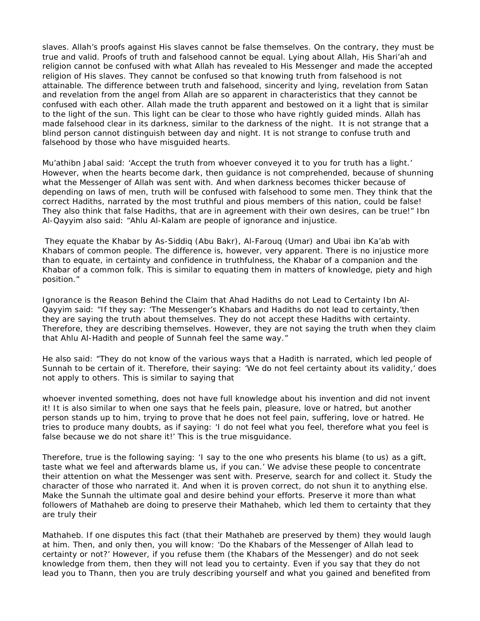slaves. Allah's proofs against His slaves cannot be false themselves. On the contrary, they must be true and valid. Proofs of truth and falsehood cannot be equal. Lying about Allah, His Shari'ah and religion cannot be confused with what Allah has revealed to His Messenger and made the accepted religion of His slaves. They cannot be confused so that knowing truth from falsehood is not attainable. The difference between truth and falsehood, sincerity and lying, revelation from Satan and revelation from the angel from Allah are so apparent in characteristics that they cannot be confused with each other. Allah made the truth apparent and bestowed on it a light that is similar to the light of the sun. This light can be clear to those who have rightly guided minds. Allah has made falsehood clear in its darkness, similar to the darkness of the night. It is not strange that a blind person cannot distinguish between day and night. It is not strange to confuse truth and falsehood by those who have misguided hearts.

Mu'athibn Jabal said: 'Accept the truth from whoever conveyed it to you for truth has a light.' However, when the hearts become dark, then guidance is not comprehended, because of shunning what the Messenger of Allah was sent with. And when darkness becomes thicker because of depending on laws of men, truth will be confused with falsehood to some men. They think that the correct Hadiths, narrated by the most truthful and pious members of this nation, could be false! They also think that false Hadiths, that are in agreement with their own desires, can be true!" Ibn Al-Qayyim also said: "Ahlu Al-Kalam are people of ignorance and injustice.

They equate the Khabar by As-Siddiq (Abu Bakr), Al-Farouq (Umar) and Ubai ibn Ka'ab with Khabars of common people. The difference is, however, very apparent. There is no injustice more than to equate, in certainty and confidence in truthfulness, the Khabar of a companion and the Khabar of a common folk. This is similar to equating them in matters of knowledge, piety and high position."

Ignorance is the Reason Behind the Claim that Ahad Hadiths do not Lead to Certainty Ibn Al-Qayyim said: "If they say: 'The Messenger's Khabars and Hadiths do not lead to certainty,'then they are saying the truth about themselves. They do not accept these Hadiths with certainty. Therefore, they are describing themselves. However, they are not saying the truth when they claim that Ahlu Al-Hadith and people of Sunnah feel the same way."

He also said: "They do not know of the various ways that a Hadith is narrated, which led people of Sunnah to be certain of it. Therefore, their saying: 'We do not feel certainty about its validity,' does not apply to others. This is similar to saying that

whoever invented something, does not have full knowledge about his invention and did not invent it! It is also similar to when one says that he feels pain, pleasure, love or hatred, but another person stands up to him, trying to prove that he does not feel pain, suffering, love or hatred. He tries to produce many doubts, as if saying: 'I do not feel what you feel, therefore what you feel is false because we do not share it!' This is the true misguidance.

Therefore, true is the following saying: 'I say to the one who presents his blame (to us) as a gift, taste what we feel and afterwards blame us, if you can.' We advise these people to concentrate their attention on what the Messenger was sent with. Preserve, search for and collect it. Study the character of those who narrated it. And when it is proven correct, do not shun it to anything else. Make the Sunnah the ultimate goal and desire behind your efforts. Preserve it more than what followers of Mathaheb are doing to preserve their Mathaheb, which led them to certainty that they are truly their

Mathaheb. If one disputes this fact (that their Mathaheb are preserved by them) they would laugh at him. Then, and only then, you will know: 'Do the Khabars of the Messenger of Allah lead to certainty or not?' However, if you refuse them (the Khabars of the Messenger) and do not seek knowledge from them, then they will not lead you to certainty. Even if you say that they do not lead you to Thann, then you are truly describing yourself and what you gained and benefited from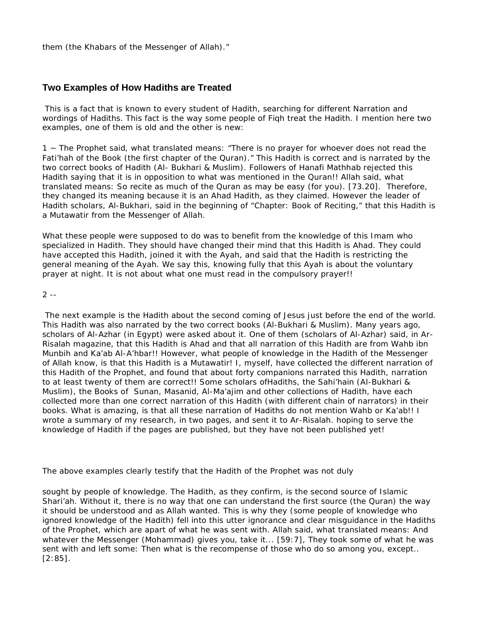them (the Khabars of the Messenger of Allah)."

# **Two Examples of How Hadiths are Treated**

This is a fact that is known to every student of Hadith, searching for different Narration and wordings of Hadiths. This fact is the way some people of Fiqh treat the Hadith. I mention here two examples, one of them is old and the other is new:

1 ~ The Prophet said, what translated means: "There is no prayer for whoever does not read the Fati'hah of the Book (the first chapter of the Quran)." This Hadith is correct and is narrated by the two correct books of Hadith (Al- Bukhari & Muslim). Followers of Hanafi Mathhab rejected this Hadith saying that it is in opposition to what was mentioned in the Quran!! Allah said, what translated means: So recite as much of the Quran as may be easy (for you). [73.20]. Therefore, they changed its meaning because it is an Ahad Hadith, as they claimed. However the leader of Hadith scholars, Al-Bukhari, said in the beginning of "Chapter: Book of Reciting," that this Hadith is a Mutawatir from the Messenger of Allah.

What these people were supposed to do was to benefit from the knowledge of this Imam who specialized in Hadith. They should have changed their mind that this Hadith is Ahad. They could have accepted this Hadith, joined it with the Ayah, and said that the Hadith is restricting the general meaning of the Ayah. We say this, knowing fully that this Ayah is about the voluntary prayer at night. It is not about what one must read in the compulsory prayer!!

#### $2 - -$

The next example is the Hadith about the second coming of Jesus just before the end of the world. This Hadith was also narrated by the two correct books (Al-Bukhari & Muslim). Many years ago, scholars of Al-Azhar (in Egypt) were asked about it. One of them (scholars of Al-Azhar) said, in Ar-Risalah magazine, that this Hadith is Ahad and that all narration of this Hadith are from Wahb ibn Munbih and Ka'ab Al-A'hbar!! However, what people of knowledge in the Hadith of the Messenger of Allah know, is that this Hadith is a Mutawatir! I, myself, have collected the different narration of this Hadith of the Prophet, and found that about forty companions narrated this Hadith, narration to at least twenty of them are correct!! Some scholars of Hadiths, the Sahi'hain (Al-Bukhari & Muslim), the Books of Sunan, Masanid, Al-Ma'ajim and other collections of Hadith, have each collected more than one correct narration of this Hadith (with different chain of narrators) in their books. What is amazing, is that all these narration of Hadiths do not mention Wahb or Ka'ab!! I wrote a summary of my research, in two pages, and sent it to Ar-Risalah. hoping to serve the knowledge of Hadith if the pages are published, but they have not been published yet!

The above examples clearly testify that the Hadith of the Prophet was not duly

sought by people of knowledge. The Hadith, as they confirm, is the second source of Islamic Shari'ah. Without it, there is no way that one can understand the first source (the Quran) the way it should be understood and as Allah wanted. This is why they (some people of knowledge who ignored knowledge of the Hadith) fell into this utter ignorance and clear misguidance in the Hadiths of the Prophet, which are apart of what he was sent with. Allah said, what translated means: And whatever the Messenger (Mohammad) gives you, take it... [59:7], They took some of what he was sent with and left some: Then what is the recompense of those who do so among you, except.. [2:85].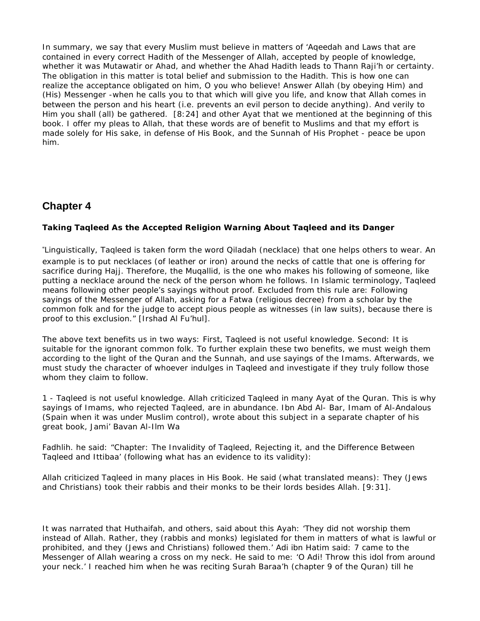In summary, we say that every Muslim must believe in matters of 'Aqeedah and Laws that are contained in every correct Hadith of the Messenger of Allah, accepted by people of knowledge, whether it was Mutawatir or Ahad, and whether the Ahad Hadith leads to Thann Raji'h or certainty. The obligation in this matter is total belief and submission to the Hadith. This is how one can realize the acceptance obligated on him, O you who believe! Answer Allah (by obeying Him) and (His) Messenger -when he calls you to that which will give you life, and know that Allah comes in between the person and his heart (i.e. prevents an evil person to decide anything). And verily to Him you shall (all) be gathered. [8:24] and other Ayat that we mentioned at the beginning of this book. I offer my pleas to Allah, that these words are of benefit to Muslims and that my effort is made solely for His sake, in defense of His Book, and the Sunnah of His Prophet - peace be upon him.

# **Chapter 4**

# **Taking Taqleed As the Accepted Religion Warning About Taqleed and its Danger**

"Linguistically, Taqleed is taken form the word Qiladah (necklace) that one helps others to wear. An example is to put necklaces (of leather or iron) around the necks of cattle that one is offering for sacrifice during Hajj. Therefore, the Muqallid, is the one who makes his following of someone, like putting a necklace around the neck of the person whom he follows. In Islamic terminology, Taqleed means following other people's sayings without proof. Excluded from this rule are: Following sayings of the Messenger of Allah, asking for a Fatwa (religious decree) from a scholar by the common folk and for the judge to accept pious people as witnesses (in law suits), because there is proof to this exclusion." [Irshad Al Fu'hul].

The above text benefits us in two ways: First, Taqleed is not useful knowledge. Second: It is suitable for the ignorant common folk. To further explain these two benefits, we must weigh them according to the light of the Quran and the Sunnah, and use sayings of the Imams. Afterwards, we must study the character of whoever indulges in Taqleed and investigate if they truly follow those whom they claim to follow.

1 - Taqleed is not useful knowledge. Allah criticized Taqleed in many Ayat of the Quran. This is why sayings of Imams, who rejected Taqleed, are in abundance. Ibn Abd Al- Bar, Imam of Al-Andalous (Spain when it was under Muslim control), wrote about this subject in a separate chapter of his great book, Jami' Bavan Al-Ilm Wa

Fadhlih. he said: "Chapter: The Invalidity of Taqleed, Rejecting it, and the Difference Between Taqleed and Ittibaa' (following what has an evidence to its validity):

Allah criticized Taqleed in many places in His Book. He said (what translated means): They (Jews and Christians) took their rabbis and their monks to be their lords besides Allah. [9:31].

It was narrated that Huthaifah, and others, said about this Ayah: 'They did not worship them instead of Allah. Rather, they (rabbis and monks) legislated for them in matters of what is lawful or prohibited, and they (Jews and Christians) followed them.' Adi ibn Hatim said: 7 came to the Messenger of Allah wearing a cross on my neck. He said to me: 'O Adi! Throw this idol from around your neck.' I reached him when he was reciting Surah Baraa'h (chapter 9 of the Quran) till he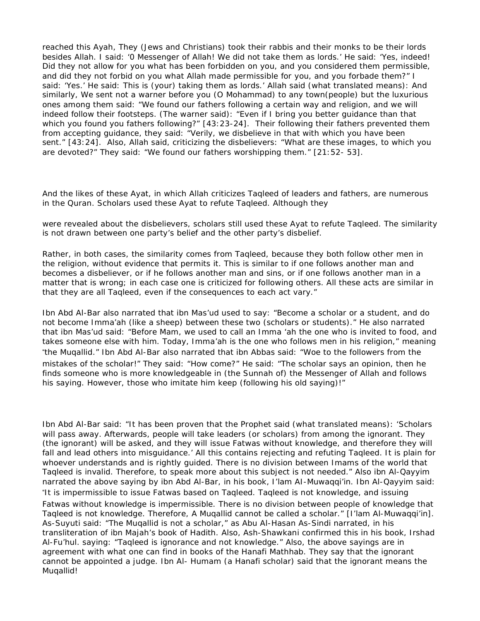reached this Ayah, They (Jews and Christians) took their rabbis and their monks to be their lords besides Allah. I said: '0 Messenger of Allah! We did not take them as lords.' He said: 'Yes, indeed! Did they not allow for you what has been forbidden on you, and you considered them permissible, and did they not forbid on you what Allah made permissible for you, and you forbade them?" I said: 'Yes.' He said: This is (your) taking them as lords.' Allah said (what translated means): And similarly, We sent not a warner before you (O Mohammad) to any town(people) but the luxurious ones among them said: "We found our fathers following a certain way and religion, and we will indeed follow their footsteps. (The warner said): "Even if I bring you better guidance than that which you found you fathers following?" [43:23-24]. Their following their fathers prevented them from accepting guidance, they said: "Verily, we disbelieve in that with which you have been sent." [43:24]. Also, Allah said, criticizing the disbelievers: "What are these images, to which you are devoted?" They said: "We found our fathers worshipping them." [21:52- 53].

And the likes of these Ayat, in which Allah criticizes Taqleed of leaders and fathers, are numerous in the Quran. Scholars used these Ayat to refute Taqleed. Although they

were revealed about the disbelievers, scholars still used these Ayat to refute Taqleed. The similarity is not drawn between one party's belief and the other party's disbelief.

Rather, in both cases, the similarity comes from Taqleed, because they both follow other men in the religion, without evidence that permits it. This is similar to if one follows another man and becomes a disbeliever, or if he follows another man and sins, or if one follows another man in a matter that is wrong; in each case one is criticized for following others. All these acts are similar in that they are all Taqleed, even if the consequences to each act vary."

Ibn Abd Al-Bar also narrated that ibn Mas'ud used to say: "Become a scholar or a student, and do not become Imma'ah (like a sheep) between these two (scholars or students)." He also narrated that ibn Mas'ud said: "Before Mam, we used to call an Imma 'ah the one who is invited to food, and takes someone else with him. Today, Imma'ah is the one who follows men in his religion," meaning "the Muqallid." Ibn Abd Al-Bar also narrated that ibn Abbas said: "Woe to the followers from the mistakes of the scholar!" They said: "How come?" He said: "The scholar says an opinion, then he finds someone who is more knowledgeable in (the Sunnah of) the Messenger of Allah and follows his saying. However, those who imitate him keep (following his old saying)!"

Ibn Abd Al-Bar said: "It has been proven that the Prophet said (what translated means): 'Scholars will pass away. Afterwards, people will take leaders (or scholars) from among the ignorant. They (the ignorant) will be asked, and they will issue Fatwas without knowledge, and therefore they will fall and lead others into misguidance.' All this contains rejecting and refuting Taqleed. It is plain for whoever understands and is rightly guided. There is no division between Imams of the world that Taqleed is invalid. Therefore, to speak more about this subject is not needed." Also ibn Al-Qayyim narrated the above saying by ibn Abd Al-Bar, in his book, I'lam AI-Muwaqqi'in. Ibn Al-Qayyim said: "It is impermissible to issue Fatwas based on Taqleed. Taqleed is not knowledge, and issuing Fatwas without knowledge is impermissible. There is no division between people of knowledge that Taqleed is not knowledge. Therefore, A Muqallid cannot be called a scholar." [I'lam Al-Muwaqqi'in]. As-Suyuti said: "The Muqallid is not a scholar," as Abu Al-Hasan As-Sindi narrated, in his

transliteration of ibn Majah's book of Hadith. Also, Ash-Shawkani confirmed this in his book, Irshad Al-Fu'hul. saying: "Taqleed is ignorance and not knowledge." Also, the above sayings are in agreement with what one can find in books of the Hanafi Mathhab. They say that the ignorant cannot be appointed a judge. Ibn Al- Humam (a Hanafi scholar) said that the ignorant means the Muqallid!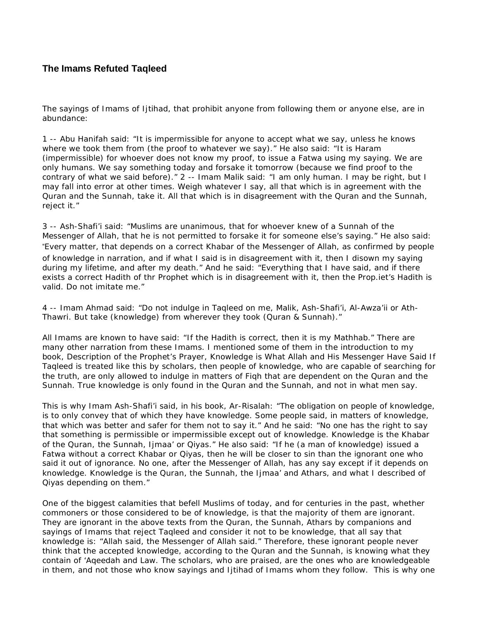# **The Imams Refuted Taqleed**

The sayings of Imams of Ijtihad, that prohibit anyone from following them or anyone else, are in abundance:

1 -- Abu Hanifah said: "It is impermissible for anyone to accept what we say, unless he knows where we took them from (the proof to whatever we say)." He also said: "It is Haram (impermissible) for whoever does not know my proof, to issue a Fatwa using my saying. We are only humans. We say something today and forsake it tomorrow (because we find proof to the contrary of what we said before)." 2 -- Imam Malik said: "I am only human. I may be right, but I may fall into error at other times. Weigh whatever I say, all that which is in agreement with the Quran and the Sunnah, take it. All that which is in disagreement with the Quran and the Sunnah, reject it."

3 -- Ash-Shafi'i said: "Muslims are unanimous, that for whoever knew of a Sunnah of the Messenger of Allah, that he is not permitted to forsake it for someone else's saying." He also said: "Every matter, that depends on a correct Khabar of the Messenger of Allah, as confirmed by people of knowledge in narration, and if what I said is in disagreement with it, then I disown my saying during my lifetime, and after my death." And he said: "Everything that I have said, and if there exists a correct Hadith of thr Prophet which is in disagreement with it, then the Prop.iet's Hadith is valid. Do not imitate me."

4 -- Imam Ahmad said: "Do not indulge in Taqleed on me, Malik, Ash-Shafi'i, Al-Awza'ii or Ath-Thawri. But take (knowledge) from wherever they took (Quran & Sunnah)."

All Imams are known to have said: "If the Hadith is correct, then it is my Mathhab." There are many other narration from these Imams. I mentioned some of them in the introduction to my book, Description of the Prophet's Prayer, Knowledge is What Allah and His Messenger Have Said If Taqleed is treated like this by scholars, then people of knowledge, who are capable of searching for the truth, are only allowed to indulge in matters of Fiqh that are dependent on the Quran and the Sunnah. True knowledge is only found in the Quran and the Sunnah, and not in what men say.

This is why Imam Ash-Shafi'i said, in his book, Ar-Risalah: "The obligation on people of knowledge, is to only convey that of which they have knowledge. Some people said, in matters of knowledge, that which was better and safer for them not to say it." And he said: "No one has the right to say that something is permissible or impermissible except out of knowledge. Knowledge is the Khabar of the Quran, the Sunnah, Ijmaa' or Qiyas." He also said: "If he (a man of knowledge) issued a Fatwa without a correct Khabar or Qiyas, then he will be closer to sin than the ignorant one who said it out of ignorance. No one, after the Messenger of Allah, has any say except if it depends on knowledge. Knowledge is the Quran, the Sunnah, the Ijmaa' and Athars, and what I described of Qiyas depending on them."

One of the biggest calamities that befell Muslims of today, and for centuries in the past, whether commoners or those considered to be of knowledge, is that the majority of them are ignorant. They are ignorant in the above texts from the Quran, the Sunnah, Athars by companions and sayings of Imams that reject Taqleed and consider it not to be knowledge, that all say that knowledge is: "Allah said, the Messenger of Allah said." Therefore, these ignorant people never think that the accepted knowledge, according to the Quran and the Sunnah, is knowing what they contain of 'Aqeedah and Law. The scholars, who are praised, are the ones who are knowledgeable in them, and not those who know sayings and Ijtihad of Imams whom they follow. This is why one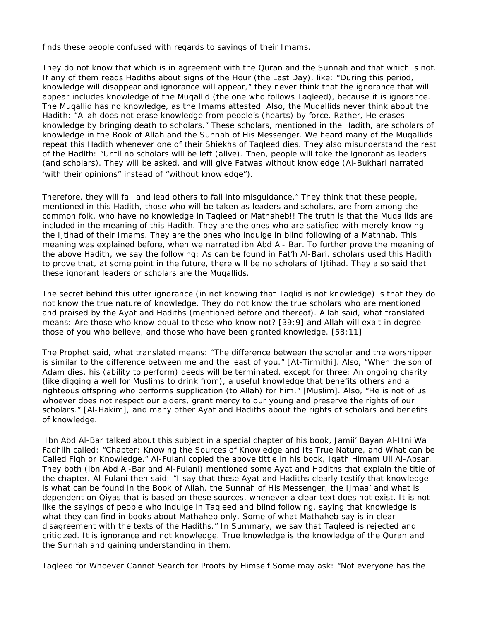finds these people confused with regards to sayings of their Imams.

They do not know that which is in agreement with the Quran and the Sunnah and that which is not. If any of them reads Hadiths about signs of the Hour (the Last Day), like: "During this period, knowledge will disappear and ignorance will appear," they never think that the ignorance that will appear includes knowledge of the Muqallid (the one who follows Taqleed), because it is ignorance. The Muqallid has no knowledge, as the Imams attested. Also, the Muqallids never think about the Hadith: "Allah does not erase knowledge from people's (hearts) by force. Rather, He erases knowledge by bringing death to scholars." These scholars, mentioned in the Hadith, are scholars of knowledge in the Book of Allah and the Sunnah of His Messenger. We heard many of the Muqallids repeat this Hadith whenever one of their Shiekhs of Taqleed dies. They also misunderstand the rest of the Hadith: "Until no scholars will be left (alive). Then, people will take the ignorant as leaders (and scholars). They will be asked, and will give Fatwas without knowledge (Al-Bukhari narrated "with their opinions" instead of "without knowledge").

Therefore, they will fall and lead others to fall into misguidance." They think that these people, mentioned in this Hadith, those who will be taken as leaders and scholars, are from among the common folk, who have no knowledge in Taqleed or Mathaheb!! The truth is that the Muqallids are included in the meaning of this Hadith. They are the ones who are satisfied with merely knowing the Ijtihad of their Imams. They are the ones who indulge in blind following of a Mathhab. This meaning was explained before, when we narrated ibn Abd Al- Bar. To further prove the meaning of the above Hadith, we say the following: As can be found in Fat'h Al-Bari. scholars used this Hadith to prove that, at some point in the future, there will be no scholars of Ijtihad. They also said that these ignorant leaders or scholars are the Muqallids.

The secret behind this utter ignorance (in not knowing that Taqlid is not knowledge) is that they do not know the true nature of knowledge. They do not know the true scholars who are mentioned and praised by the Ayat and Hadiths (mentioned before and thereof). Allah said, what translated means: Are those who know equal to those who know not? [39:9] and Allah will exalt in degree those of you who believe, and those who have been granted knowledge. [58:11]

The Prophet said, what translated means: "The difference between the scholar and the worshipper is similar to the difference between me and the least of you." [At-Tirmithi]. Also, "When the son of Adam dies, his (ability to perform) deeds will be terminated, except for three: An ongoing charity (like digging a well for Muslims to drink from), a useful knowledge that benefits others and a righteous offspring who performs supplication (to Allah) for him." [Muslim]. Also, "He is not of us whoever does not respect our elders, grant mercy to our young and preserve the rights of our scholars." [Al-Hakim], and many other Ayat and Hadiths about the rights of scholars and benefits of knowledge.

Ibn Abd Al-Bar talked about this subject in a special chapter of his book, Jamii' Bayan Al-IIni Wa Fadhlih called: "Chapter: Knowing the Sources of Knowledge and Its True Nature, and What can be Called Fiqh or Knowledge." Al-Fulani copied the above tittle in his book, Iqath Himam Uli Al-Absar. They both (ibn Abd Al-Bar and Al-Fulani) mentioned some Ayat and Hadiths that explain the title of the chapter. Al-Fulani then said: "I say that these Ayat and Hadiths clearly testify that knowledge is what can be found in the Book of Allah, the Sunnah of His Messenger, the Ijmaa' and what is dependent on Qiyas that is based on these sources, whenever a clear text does not exist. It is not like the sayings of people who indulge in Taqleed and blind following, saying that knowledge is what they can find in books about Mathaheb only. Some of what Mathaheb say is in clear disagreement with the texts of the Hadiths." In Summary, we say that Taqleed is rejected and criticized. It is ignorance and not knowledge. True knowledge is the knowledge of the Quran and the Sunnah and gaining understanding in them.

Taqleed for Whoever Cannot Search for Proofs by Himself Some may ask: "Not everyone has the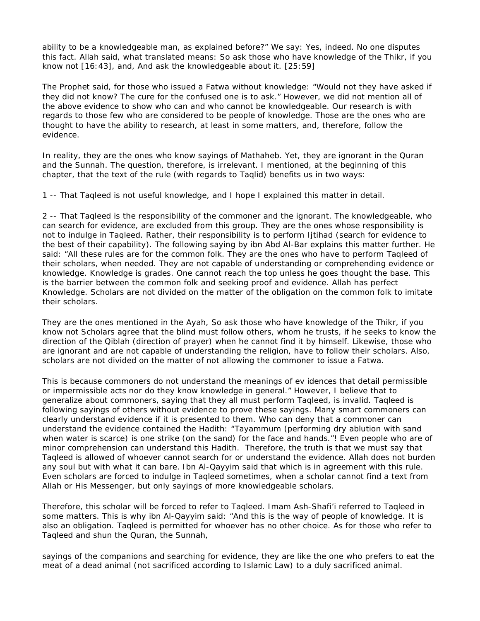ability to be a knowledgeable man, as explained before?" We say: Yes, indeed. No one disputes this fact. Allah said, what translated means: So ask those who have knowledge of the Thikr, if you know not [16:43], and, And ask the knowledgeable about it. [25:59]

The Prophet said, for those who issued a Fatwa without knowledge: "Would not they have asked if they did not know? The cure for the confused one is to ask." However, we did not mention all of the above evidence to show who can and who cannot be knowledgeable. Our research is with regards to those few who are considered to be people of knowledge. Those are the ones who are thought to have the ability to research, at least in some matters, and, therefore, follow the evidence.

In reality, they are the ones who know sayings of Mathaheb. Yet, they are ignorant in the Quran and the Sunnah. The question, therefore, is irrelevant. I mentioned, at the beginning of this chapter, that the text of the rule (with regards to Taqlid) benefits us in two ways:

1 -- That Taqleed is not useful knowledge, and I hope I explained this matter in detail.

2 -- That Taqleed is the responsibility of the commoner and the ignorant. The knowledgeable, who can search for evidence, are excluded from this group. They are the ones whose responsibility is not to indulge in Taqleed. Rather, their responsibility is to perform Ijtihad (search for evidence to the best of their capability). The following saying by ibn Abd Al-Bar explains this matter further. He said: "All these rules are for the common folk. They are the ones who have to perform Taqleed of their scholars, when needed. They are not capable of understanding or comprehending evidence or knowledge. Knowledge is grades. One cannot reach the top unless he goes thought the base. This is the barrier between the common folk and seeking proof and evidence. Allah has perfect Knowledge. Scholars are not divided on the matter of the obligation on the common folk to imitate their scholars.

They are the ones mentioned in the Ayah, So ask those who have knowledge of the Thikr, if you know not Scholars agree that the blind must follow others, whom he trusts, if he seeks to know the direction of the Qiblah (direction of prayer) when he cannot find it by himself. Likewise, those who are ignorant and are not capable of understanding the religion, have to follow their scholars. Also, scholars are not divided on the matter of not allowing the commoner to issue a Fatwa.

This is because commoners do not understand the meanings of ev idences that detail permissible or impermissible acts nor do they know knowledge in general." However, I believe that to generalize about commoners, saying that they all must perform Taqleed, is invalid. Taqleed is following sayings of others without evidence to prove these sayings. Many smart commoners can clearly understand evidence if it is presented to them. Who can deny that a commoner can understand the evidence contained the Hadith: "Tayammum (performing dry ablution with sand when water is scarce) is one strike (on the sand) for the face and hands."! Even people who are of minor comprehension can understand this Hadith. Therefore, the truth is that we must say that Taqleed is allowed of whoever cannot search for or understand the evidence. Allah does not burden any soul but with what it can bare. Ibn Al-Qayyim said that which is in agreement with this rule. Even scholars are forced to indulge in Taqleed sometimes, when a scholar cannot find a text from Allah or His Messenger, but only sayings of more knowledgeable scholars.

Therefore, this scholar will be forced to refer to Taqleed. Imam Ash-Shafi'i referred to Taqleed in some matters. This is why ibn Al-Qayyim said: "And this is the way of people of knowledge. It is also an obligation. Taqleed is permitted for whoever has no other choice. As for those who refer to Taqleed and shun the Quran, the Sunnah,

sayings of the companions and searching for evidence, they are like the one who prefers to eat the meat of a dead animal (not sacrificed according to Islamic Law) to a duly sacrificed animal.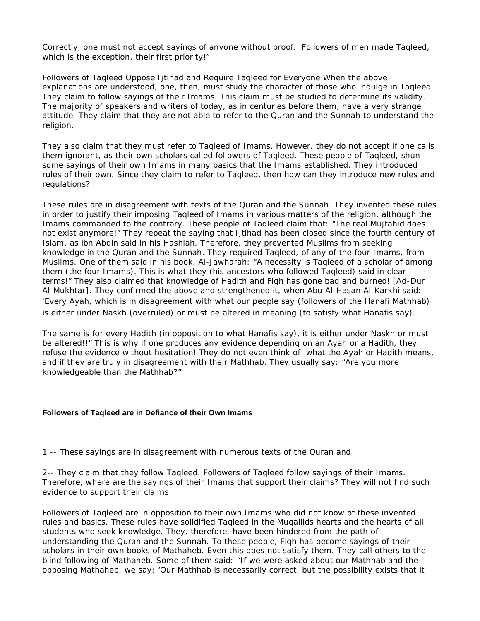Correctly, one must not accept sayings of anyone without proof. Followers of men made Taqleed, which is the exception, their first priority!"

Followers of Taqleed Oppose Ijtihad and Require Taqleed for Everyone When the above explanations are understood, one, then, must study the character of those who indulge in Taqleed. They claim to follow sayings of their Imams. This claim must be studied to determine its validity. The majority of speakers and writers of today, as in centuries before them, have a very strange attitude. They claim that they are not able to refer to the Quran and the Sunnah to understand the religion.

They also claim that they must refer to Taqleed of Imams. However, they do not accept if one calls them ignorant, as their own scholars called followers of Taqleed. These people of Taqleed, shun some sayings of their own Imams in many basics that the Imams established. They introduced rules of their own. Since they claim to refer to Taqleed, then how can they introduce new rules and regulations?

These rules are in disagreement with texts of the Quran and the Sunnah. They invented these rules in order to justify their imposing Taqleed of Imams in various matters of the religion, although the Imams commanded to the contrary. These people of Taqleed claim that: "The real Mujtahid does not exist anymore!" They repeat the saying that Ijtihad has been closed since the fourth century of Islam, as ibn Abdin said in his Hashiah. Therefore, they prevented Muslims from seeking knowledge in the Quran and the Sunnah. They required Taqleed, of any of the four Imams, from Muslims. One of them said in his book, Al-Jawharah: "A necessity is Taqleed of a scholar of among them (the four Imams). This is what they (his ancestors who followed Taqleed) said in clear terms!" They also claimed that knowledge of Hadith and Fiqh has gone bad and burned! [Ad-Dur Al-Mukhtar]. They confirmed the above and strengthened it, when Abu Al-Hasan Al-Karkhi said: "Every Ayah, which is in disagreement with what our people say (followers of the Hanafi Mathhab) is either under Naskh (overruled) or must be altered in meaning (to satisfy what Hanafis say).

The same is for every Hadith (in opposition to what Hanafis say), it is either under Naskh or must be altered!!" This is why if one produces any evidence depending on an Ayah or a Hadith, they refuse the evidence without hesitation! They do not even think of what the Ayah or Hadith means, and if they are truly in disagreement with their Mathhab. They usually say: "Are you more knowledgeable than the Mathhab?"

#### **Followers of Taqleed are in Defiance of their Own Imams**

1 -- These sayings are in disagreement with numerous texts of the Quran and

2-- They claim that they follow Taqleed. Followers of Taqleed follow sayings of their Imams. Therefore, where are the sayings of their Imams that support their claims? They will not find such evidence to support their claims.

Followers of Taqleed are in opposition to their own Imams who did not know of these invented rules and basics. These rules have solidified Taqleed in the Muqallids hearts and the hearts of all students who seek knowledge. They, therefore, have been hindered from the path of understanding the Quran and the Sunnah. To these people, Fiqh has become sayings of their scholars in their own books of Mathaheb. Even this does not satisfy them. They call others to the blind following of Mathaheb. Some of them said: "If we were asked about our Mathhab and the opposing Mathaheb, we say: 'Our Mathhab is necessarily correct, but the possibility exists that it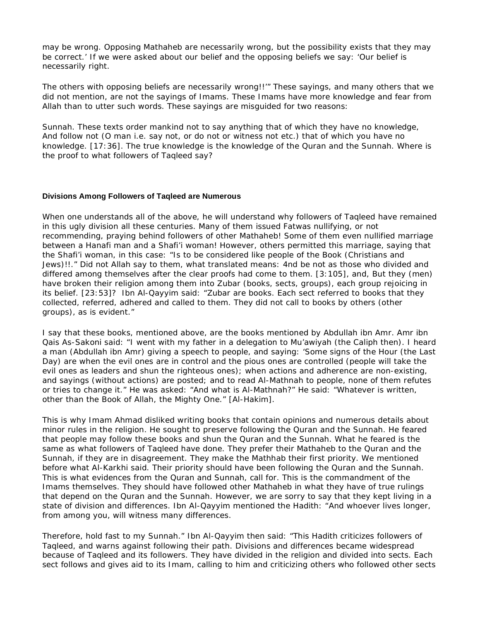may be wrong. Opposing Mathaheb are necessarily wrong, but the possibility exists that they may be correct.' If we were asked about our belief and the opposing beliefs we say: 'Our belief is necessarily right.

The others with opposing beliefs are necessarily wrong!!'" These sayings, and many others that we did not mention, are not the sayings of Imams. These Imams have more knowledge and fear from Allah than to utter such words. These sayings are misguided for two reasons:

Sunnah. These texts order mankind not to say anything that of which they have no knowledge, And follow not (O man i.e. say not, or do not or witness not etc.) that of which you have no knowledge. [17:36]. The true knowledge is the knowledge of the Quran and the Sunnah. Where is the proof to what followers of Taqleed say?

### **Divisions Among Followers of Taqleed are Numerous**

When one understands all of the above, he will understand why followers of Taqleed have remained in this ugly division all these centuries. Many of them issued Fatwas nullifying, or not recommending, praying behind followers of other Mathaheb! Some of them even nullified marriage between a Hanafi man and a Shafi'i woman! However, others permitted this marriage, saying that the Shafi'i woman, in this case: "Is to be considered like people of the Book (Christians and Jews)!!." Did not Allah say to them, what translated means: 4nd be not as those who divided and differed among themselves after the clear proofs had come to them. [3:105], and, But they (men) have broken their religion among them into Zubar (books, sects, groups), each group rejoicing in its belief. [23:53]? Ibn Al-Qayyim said: "Zubar are books. Each sect referred to books that they collected, referred, adhered and called to them. They did not call to books by others (other groups), as is evident."

I say that these books, mentioned above, are the books mentioned by Abdullah ibn Amr. Amr ibn Qais As-Sakoni said: "I went with my father in a delegation to Mu'awiyah (the Caliph then). I heard a man (Abdullah ibn Amr) giving a speech to people, and saying: 'Some signs of the Hour (the Last Day) are when the evil ones are in control and the pious ones are controlled (people will take the evil ones as leaders and shun the righteous ones); when actions and adherence are non-existing, and sayings (without actions) are posted; and to read Al-Mathnah to people, none of them refutes or tries to change it." He was asked: "And what is Al-Mathnah?" He said: "Whatever is written, other than the Book of Allah, the Mighty One." [Al-Hakim].

This is why Imam Ahmad disliked writing books that contain opinions and numerous details about minor rules in the religion. He sought to preserve following the Quran and the Sunnah. He feared that people may follow these books and shun the Quran and the Sunnah. What he feared is the same as what followers of Taqleed have done. They prefer their Mathaheb to the Quran and the Sunnah, if they are in disagreement. They make the Mathhab their first priority. We mentioned before what Al-Karkhi said. Their priority should have been following the Quran and the Sunnah. This is what evidences from the Quran and Sunnah, call for. This is the commandment of the Imams themselves. They should have followed other Mathaheb in what they have of true rulings that depend on the Quran and the Sunnah. However, we are sorry to say that they kept living in a state of division and differences. Ibn Al-Qayyim mentioned the Hadith: "And whoever lives longer, from among you, will witness many differences.

Therefore, hold fast to my Sunnah." Ibn Al-Qayyim then said: "This Hadith criticizes followers of Taqleed, and warns against following their path. Divisions and differences became widespread because of Taqleed and its followers. They have divided in the religion and divided into sects. Each sect follows and gives aid to its Imam, calling to him and criticizing others who followed other sects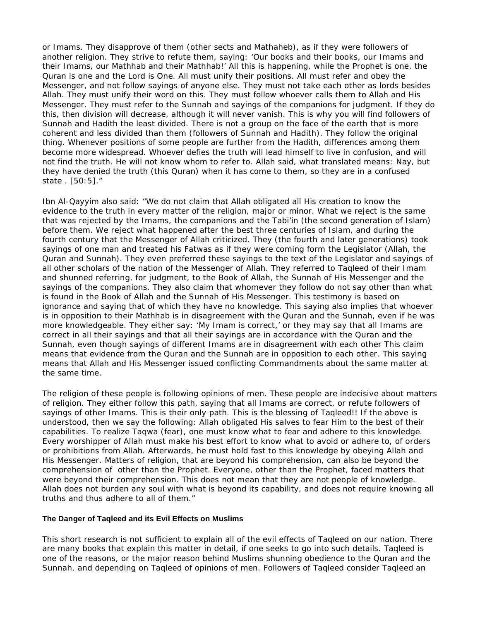or Imams. They disapprove of them (other sects and Mathaheb), as if they were followers of another religion. They strive to refute them, saying: 'Our books and their books, our Imams and their Imams, our Mathhab and their Mathhab!' All this is happening, while the Prophet is one, the Quran is one and the Lord is One. All must unify their positions. All must refer and obey the Messenger, and not follow sayings of anyone else. They must not take each other as lords besides Allah. They must unify their word on this. They must follow whoever calls them to Allah and His Messenger. They must refer to the Sunnah and sayings of the companions for judgment. If they do this, then division will decrease, although it will never vanish. This is why you will find followers of Sunnah and Hadith the least divided. There is not a group on the face of the earth that is more coherent and less divided than them (followers of Sunnah and Hadith). They follow the original thing. Whenever positions of some people are further from the Hadith, differences among them become more widespread. Whoever defies the truth will lead himself to live in confusion, and will not find the truth. He will not know whom to refer to. Allah said, what translated means: Nay, but they have denied the truth (this Quran) when it has come to them, so they are in a confused state . [50:5]."

Ibn Al-Qayyim also said: "We do not claim that Allah obligated all His creation to know the evidence to the truth in every matter of the religion, major or minor. What we reject is the same that was rejected by the Imams, the companions and the Tabi'in (the second generation of Islam) before them. We reject what happened after the best three centuries of Islam, and during the fourth century that the Messenger of Allah criticized. They (the fourth and later generations) took sayings of one man and treated his Fatwas as if they were coming form the Legislator (Allah, the Quran and Sunnah). They even preferred these sayings to the text of the Legislator and sayings of all other scholars of the nation of the Messenger of Allah. They referred to Taqleed of their Imam and shunned referring, for judgment, to the Book of Allah, the Sunnah of His Messenger and the sayings of the companions. They also claim that whomever they follow do not say other than what is found in the Book of Allah and the Sunnah of His Messenger. This testimony is based on ignorance and saying that of which they have no knowledge. This saying also implies that whoever is in opposition to their Mathhab is in disagreement with the Quran and the Sunnah, even if he was more knowledgeable. They either say: 'My Imam is correct,' or they may say that all Imams are correct in all their sayings and that all their sayings are in accordance with the Quran and the Sunnah, even though sayings of different Imams are in disagreement with each other This claim means that evidence from the Quran and the Sunnah are in opposition to each other. This saying means that Allah and His Messenger issued conflicting Commandments about the same matter at the same time.

The religion of these people is following opinions of men. These people are indecisive about matters of religion. They either follow this path, saying that all Imams are correct, or refute followers of sayings of other Imams. This is their only path. This is the blessing of Taqleed!! If the above is understood, then we say the following: Allah obligated His salves to fear Him to the best of their capabilities. To realize Taqwa (fear), one must know what to fear and adhere to this knowledge. Every worshipper of Allah must make his best effort to know what to avoid or adhere to, of orders or prohibitions from Allah. Afterwards, he must hold fast to this knowledge by obeying Allah and His Messenger. Matters of religion, that are beyond his comprehension, can also be beyond the comprehension of other than the Prophet. Everyone, other than the Prophet, faced matters that were beyond their comprehension. This does not mean that they are not people of knowledge. Allah does not burden any soul with what is beyond its capability, and does not require knowing all truths and thus adhere to all of them."

### **The Danger of Taqleed and its Evil Effects on Muslims**

This short research is not sufficient to explain all of the evil effects of Taqleed on our nation. There are many books that explain this matter in detail, if one seeks to go into such details. Taqleed is one of the reasons, or the major reason behind Muslims shunning obedience to the Quran and the Sunnah, and depending on Taqleed of opinions of men. Followers of Taqleed consider Taqleed an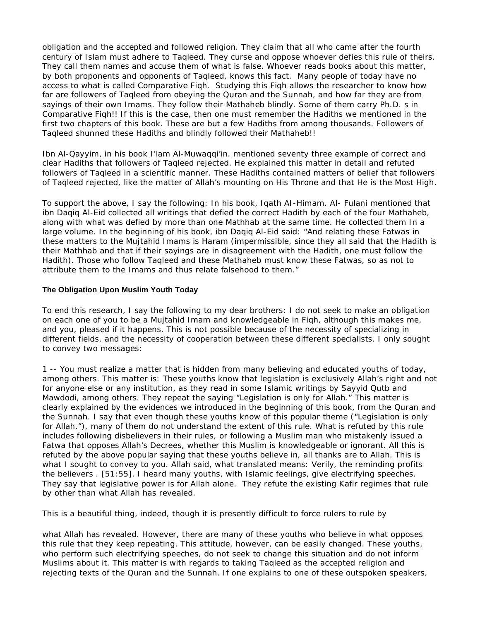obligation and the accepted and followed religion. They claim that all who came after the fourth century of Islam must adhere to Taqleed. They curse and oppose whoever defies this rule of theirs. They call them names and accuse them of what is false. Whoever reads books about this matter, by both proponents and opponents of Taqleed, knows this fact. Many people of today have no access to what is called Comparative Fiqh. Studying this Fiqh allows the researcher to know how far are followers of Taqleed from obeying the Quran and the Sunnah, and how far they are from sayings of their own Imams. They follow their Mathaheb blindly. Some of them carry Ph.D. s in Comparative Fiqh!! If this is the case, then one must remember the Hadiths we mentioned in the first two chapters of this book. These are but a few Hadiths from among thousands. Followers of Taqleed shunned these Hadiths and blindly followed their Mathaheb!!

Ibn Al-Qayyim, in his book I'lam Al-Muwaqqi'in. mentioned seventy three example of correct and clear Hadiths that followers of Taqleed rejected. He explained this matter in detail and refuted followers of Taqleed in a scientific manner. These Hadiths contained matters of belief that followers of Taqleed rejected, like the matter of Allah's mounting on His Throne and that He is the Most High.

To support the above, I say the following: In his book, Iqath AI-Himam. Al- Fulani mentioned that ibn Daqiq Al-Eid collected all writings that defied the correct Hadith by each of the four Mathaheb, along with what was defied by more than one Mathhab at the same time. He collected them In a large volume. In the beginning of his book, ibn Daqiq Al-Eid said: "And relating these Fatwas in these matters to the Mujtahid Imams is Haram (impermissible, since they all said that the Hadith is their Mathhab and that if their sayings are in disagreement with the Hadith, one must follow the Hadith). Those who follow Taqleed and these Mathaheb must know these Fatwas, so as not to attribute them to the Imams and thus relate falsehood to them."

# **The Obligation Upon Muslim Youth Today**

To end this research, I say the following to my dear brothers: I do not seek to make an obligation on each one of you to be a Mujtahid Imam and knowledgeable in Fiqh, although this makes me, and you, pleased if it happens. This is not possible because of the necessity of specializing in different fields, and the necessity of cooperation between these different specialists. I only sought to convey two messages:

1 -- You must realize a matter that is hidden from many believing and educated youths of today, among others. This matter is: These youths know that legislation is exclusively Allah's right and not for anyone else or any institution, as they read in some Islamic writings by Sayyid Qutb and Mawdodi, among others. They repeat the saying "Legislation is only for Allah." This matter is clearly explained by the evidences we introduced in the beginning of this book, from the Quran and the Sunnah. I say that even though these youths know of this popular theme ("Legislation is only for Allah."), many of them do not understand the extent of this rule. What is refuted by this rule includes following disbelievers in their rules, or following a Muslim man who mistakenly issued a Fatwa that opposes Allah's Decrees, whether this Muslim is knowledgeable or ignorant. All this is refuted by the above popular saying that these youths believe in, all thanks are to Allah. This is what I sought to convey to you. Allah said, what translated means: Verily, the reminding profits the believers . [51:55]. I heard many youths, with Islamic feelings, give electrifying speeches. They say that legislative power is for Allah alone. They refute the existing Kafir regimes that rule by other than what Allah has revealed.

This is a beautiful thing, indeed, though it is presently difficult to force rulers to rule by

what Allah has revealed. However, there are many of these youths who believe in what opposes this rule that they keep repeating. This attitude, however, can be easily changed. These youths, who perform such electrifying speeches, do not seek to change this situation and do not inform Muslims about it. This matter is with regards to taking Taqleed as the accepted religion and rejecting texts of the Quran and the Sunnah. If one explains to one of these outspoken speakers,